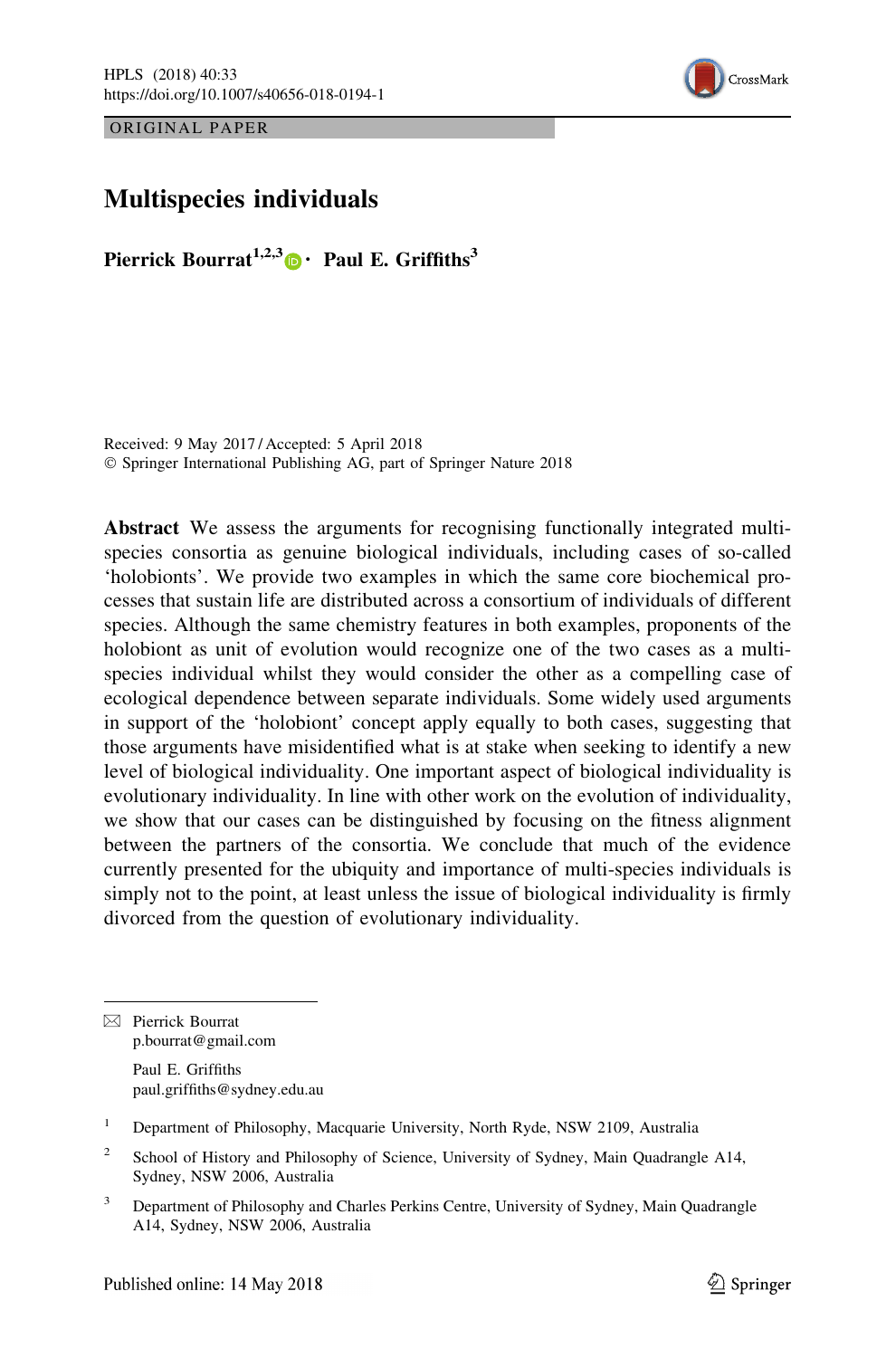

ORIGINAL PAPER

# Multispecies individuals

Pierrick Bourrat<sup>1,2,3</sup> • Paul E. Griffiths<sup>3</sup>

Received: 9 May 2017 / Accepted: 5 April 2018 - Springer International Publishing AG, part of Springer Nature 2018

Abstract We assess the arguments for recognising functionally integrated multispecies consortia as genuine biological individuals, including cases of so-called 'holobionts'. We provide two examples in which the same core biochemical processes that sustain life are distributed across a consortium of individuals of different species. Although the same chemistry features in both examples, proponents of the holobiont as unit of evolution would recognize one of the two cases as a multispecies individual whilst they would consider the other as a compelling case of ecological dependence between separate individuals. Some widely used arguments in support of the 'holobiont' concept apply equally to both cases, suggesting that those arguments have misidentified what is at stake when seeking to identify a new level of biological individuality. One important aspect of biological individuality is evolutionary individuality. In line with other work on the evolution of individuality, we show that our cases can be distinguished by focusing on the fitness alignment between the partners of the consortia. We conclude that much of the evidence currently presented for the ubiquity and importance of multi-species individuals is simply not to the point, at least unless the issue of biological individuality is firmly divorced from the question of evolutionary individuality.

& Pierrick Bourrat p.bourrat@gmail.com

> Paul E. Griffiths paul.griffiths@sydney.edu.au

<sup>1</sup> Department of Philosophy, Macquarie University, North Ryde, NSW 2109, Australia

<sup>2</sup> School of History and Philosophy of Science, University of Sydney, Main Quadrangle A14, Sydney, NSW 2006, Australia

<sup>3</sup> Department of Philosophy and Charles Perkins Centre, University of Sydney, Main Quadrangle A14, Sydney, NSW 2006, Australia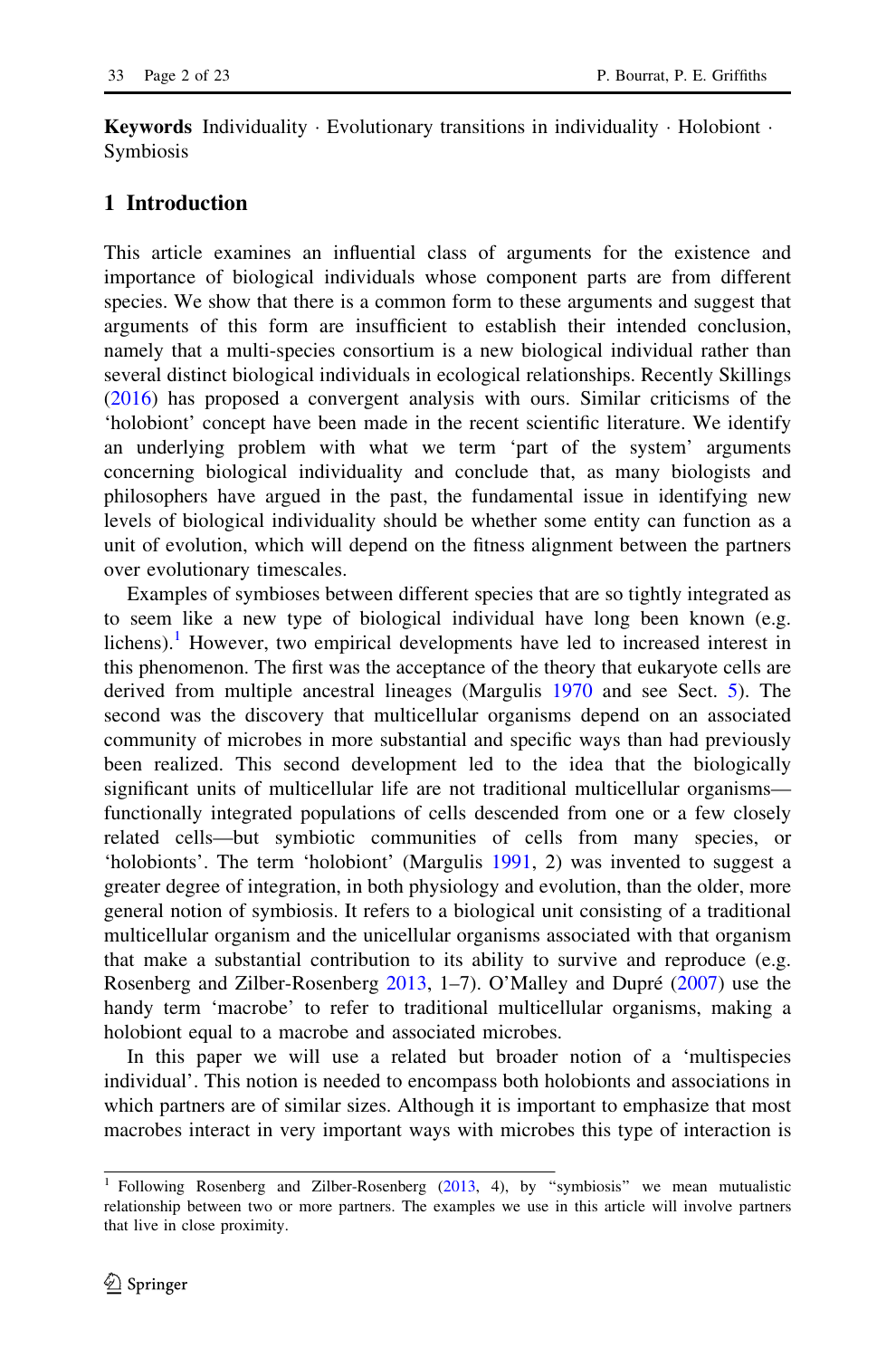Keywords Individuality · Evolutionary transitions in individuality · Holobiont · Symbiosis

## 1 Introduction

This article examines an influential class of arguments for the existence and importance of biological individuals whose component parts are from different species. We show that there is a common form to these arguments and suggest that arguments of this form are insufficient to establish their intended conclusion, namely that a multi-species consortium is a new biological individual rather than several distinct biological individuals in ecological relationships. Recently Skillings [\(2016](#page-22-0)) has proposed a convergent analysis with ours. Similar criticisms of the 'holobiont' concept have been made in the recent scientific literature. We identify an underlying problem with what we term 'part of the system' arguments concerning biological individuality and conclude that, as many biologists and philosophers have argued in the past, the fundamental issue in identifying new levels of biological individuality should be whether some entity can function as a unit of evolution, which will depend on the fitness alignment between the partners over evolutionary timescales.

Examples of symbioses between different species that are so tightly integrated as to seem like a new type of biological individual have long been known (e.g. lichens).<sup>1</sup> However, two empirical developments have led to increased interest in this phenomenon. The first was the acceptance of the theory that eukaryote cells are derived from multiple ancestral lineages (Margulis [1970](#page-21-0) and see Sect. [5](#page-12-0)). The second was the discovery that multicellular organisms depend on an associated community of microbes in more substantial and specific ways than had previously been realized. This second development led to the idea that the biologically significant units of multicellular life are not traditional multicellular organisms functionally integrated populations of cells descended from one or a few closely related cells—but symbiotic communities of cells from many species, or 'holobionts'. The term 'holobiont' (Margulis [1991](#page-21-0), 2) was invented to suggest a greater degree of integration, in both physiology and evolution, than the older, more general notion of symbiosis. It refers to a biological unit consisting of a traditional multicellular organism and the unicellular organisms associated with that organism that make a substantial contribution to its ability to survive and reproduce (e.g. Rosenberg and Zilber-Rosenberg  $2013$ , 1–7). O'Malley and Dupré  $(2007)$  $(2007)$  use the handy term 'macrobe' to refer to traditional multicellular organisms, making a holobiont equal to a macrobe and associated microbes.

In this paper we will use a related but broader notion of a 'multispecies individual'. This notion is needed to encompass both holobionts and associations in which partners are of similar sizes. Although it is important to emphasize that most macrobes interact in very important ways with microbes this type of interaction is

<sup>&</sup>lt;sup>1</sup> Following Rosenberg and Zilber-Rosenberg ([2013](#page-22-0), 4), by "symbiosis" we mean mutualistic relationship between two or more partners. The examples we use in this article will involve partners that live in close proximity.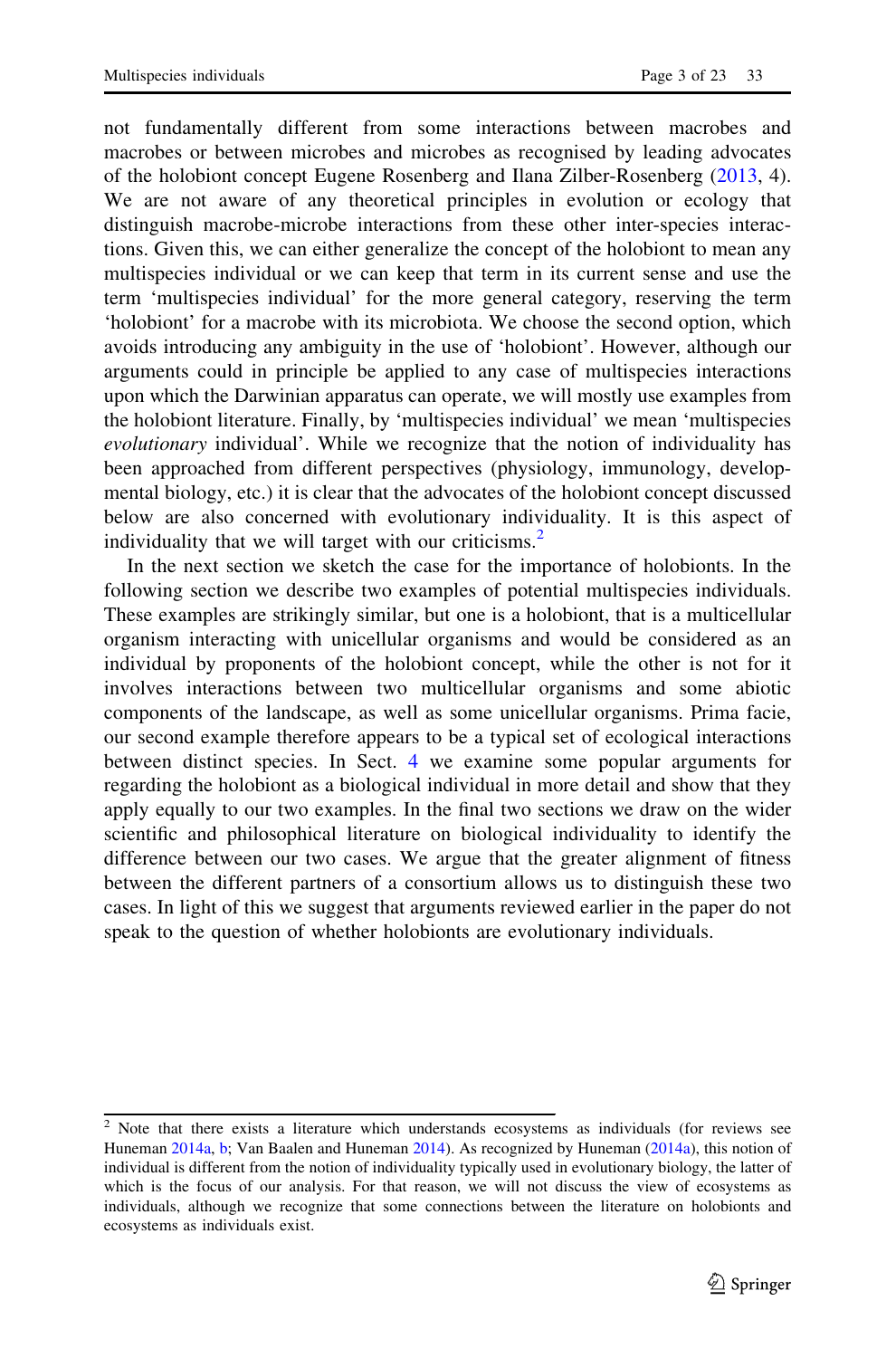not fundamentally different from some interactions between macrobes and macrobes or between microbes and microbes as recognised by leading advocates of the holobiont concept Eugene Rosenberg and Ilana Zilber-Rosenberg ([2013,](#page-22-0) 4). We are not aware of any theoretical principles in evolution or ecology that distinguish macrobe-microbe interactions from these other inter-species interactions. Given this, we can either generalize the concept of the holobiont to mean any multispecies individual or we can keep that term in its current sense and use the term 'multispecies individual' for the more general category, reserving the term 'holobiont' for a macrobe with its microbiota. We choose the second option, which avoids introducing any ambiguity in the use of 'holobiont'. However, although our arguments could in principle be applied to any case of multispecies interactions upon which the Darwinian apparatus can operate, we will mostly use examples from the holobiont literature. Finally, by 'multispecies individual' we mean 'multispecies evolutionary individual'. While we recognize that the notion of individuality has been approached from different perspectives (physiology, immunology, developmental biology, etc.) it is clear that the advocates of the holobiont concept discussed below are also concerned with evolutionary individuality. It is this aspect of individuality that we will target with our criticisms. $<sup>2</sup>$ </sup>

In the next section we sketch the case for the importance of holobionts. In the following section we describe two examples of potential multispecies individuals. These examples are strikingly similar, but one is a holobiont, that is a multicellular organism interacting with unicellular organisms and would be considered as an individual by proponents of the holobiont concept, while the other is not for it involves interactions between two multicellular organisms and some abiotic components of the landscape, as well as some unicellular organisms. Prima facie, our second example therefore appears to be a typical set of ecological interactions between distinct species. In Sect. [4](#page-9-0) we examine some popular arguments for regarding the holobiont as a biological individual in more detail and show that they apply equally to our two examples. In the final two sections we draw on the wider scientific and philosophical literature on biological individuality to identify the difference between our two cases. We argue that the greater alignment of fitness between the different partners of a consortium allows us to distinguish these two cases. In light of this we suggest that arguments reviewed earlier in the paper do not speak to the question of whether holobionts are evolutionary individuals.

<sup>2</sup> Note that there exists a literature which understands ecosystems as individuals (for reviews see Huneman [2014a,](#page-21-0) [b;](#page-21-0) Van Baalen and Huneman [2014\)](#page-22-0). As recognized by Huneman [\(2014a\)](#page-21-0), this notion of individual is different from the notion of individuality typically used in evolutionary biology, the latter of which is the focus of our analysis. For that reason, we will not discuss the view of ecosystems as individuals, although we recognize that some connections between the literature on holobionts and ecosystems as individuals exist.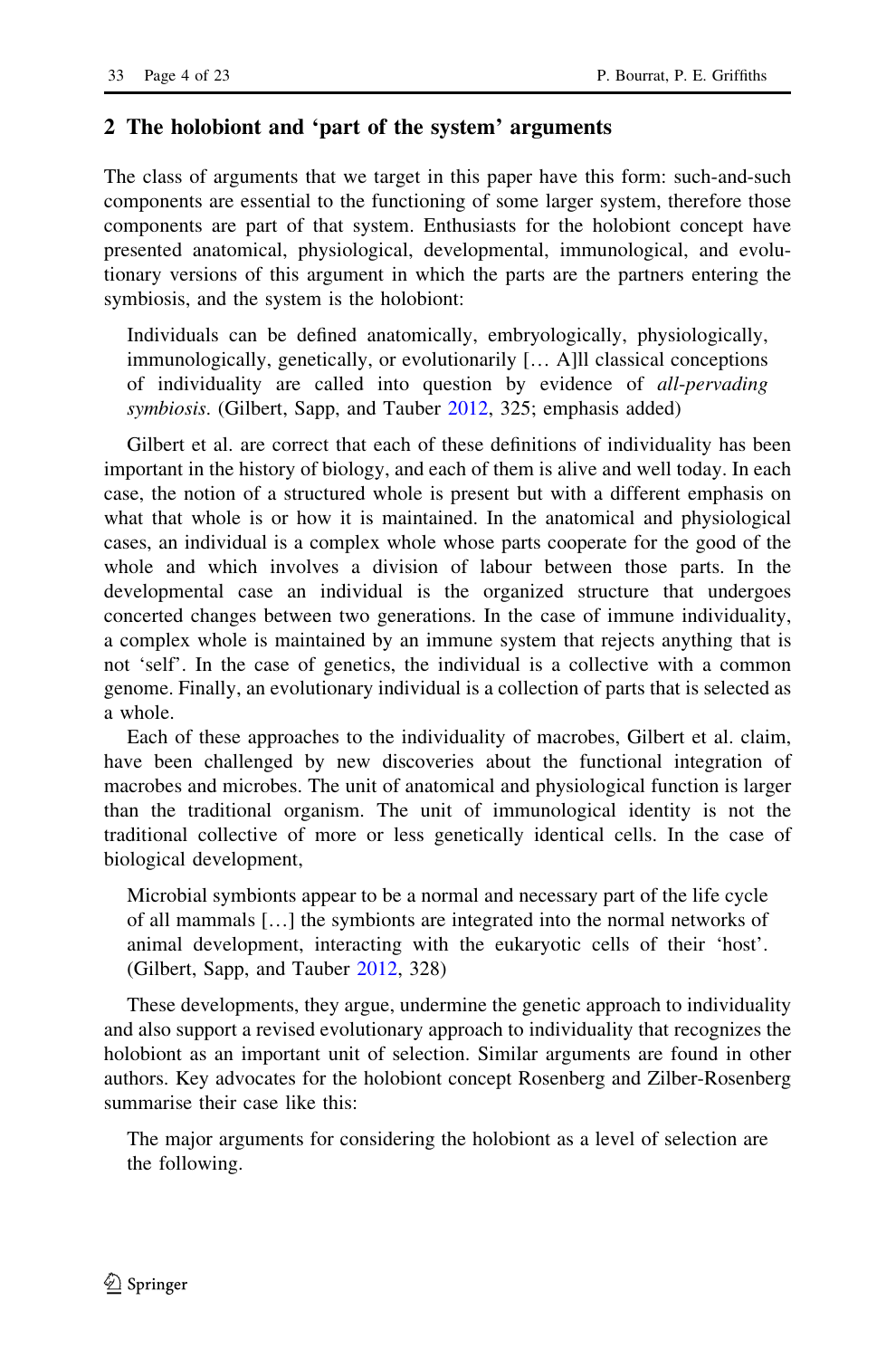### <span id="page-3-0"></span>2 The holobiont and 'part of the system' arguments

The class of arguments that we target in this paper have this form: such-and-such components are essential to the functioning of some larger system, therefore those components are part of that system. Enthusiasts for the holobiont concept have presented anatomical, physiological, developmental, immunological, and evolutionary versions of this argument in which the parts are the partners entering the symbiosis, and the system is the holobiont:

Individuals can be defined anatomically, embryologically, physiologically, immunologically, genetically, or evolutionarily [… A]ll classical conceptions of individuality are called into question by evidence of all-pervading symbiosis. (Gilbert, Sapp, and Tauber [2012,](#page-20-0) 325; emphasis added)

Gilbert et al. are correct that each of these definitions of individuality has been important in the history of biology, and each of them is alive and well today. In each case, the notion of a structured whole is present but with a different emphasis on what that whole is or how it is maintained. In the anatomical and physiological cases, an individual is a complex whole whose parts cooperate for the good of the whole and which involves a division of labour between those parts. In the developmental case an individual is the organized structure that undergoes concerted changes between two generations. In the case of immune individuality, a complex whole is maintained by an immune system that rejects anything that is not 'self'. In the case of genetics, the individual is a collective with a common genome. Finally, an evolutionary individual is a collection of parts that is selected as a whole.

Each of these approaches to the individuality of macrobes, Gilbert et al. claim, have been challenged by new discoveries about the functional integration of macrobes and microbes. The unit of anatomical and physiological function is larger than the traditional organism. The unit of immunological identity is not the traditional collective of more or less genetically identical cells. In the case of biological development,

Microbial symbionts appear to be a normal and necessary part of the life cycle of all mammals […] the symbionts are integrated into the normal networks of animal development, interacting with the eukaryotic cells of their 'host'. (Gilbert, Sapp, and Tauber [2012](#page-20-0), 328)

These developments, they argue, undermine the genetic approach to individuality and also support a revised evolutionary approach to individuality that recognizes the holobiont as an important unit of selection. Similar arguments are found in other authors. Key advocates for the holobiont concept Rosenberg and Zilber-Rosenberg summarise their case like this:

The major arguments for considering the holobiont as a level of selection are the following.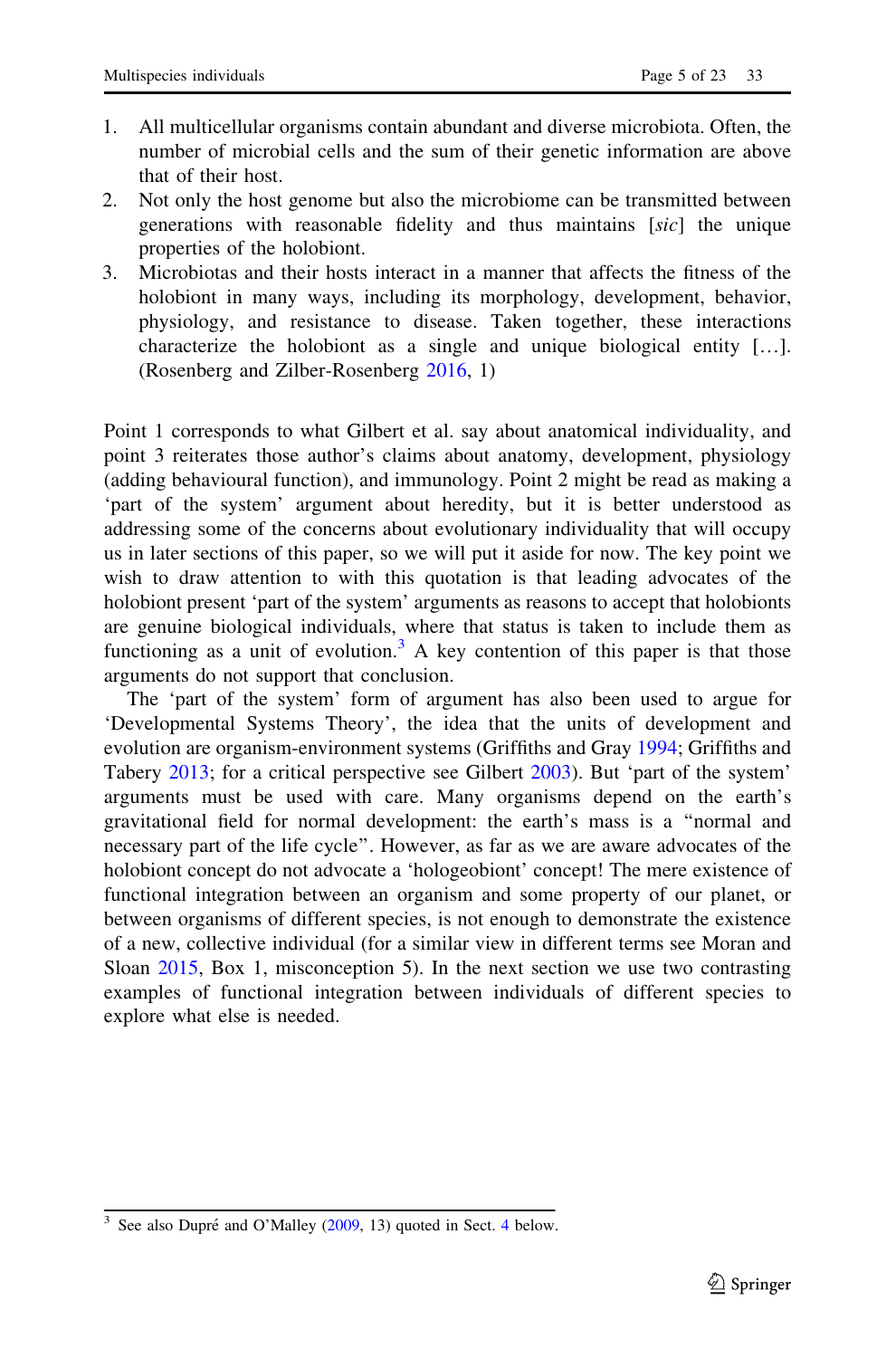- 1. All multicellular organisms contain abundant and diverse microbiota. Often, the number of microbial cells and the sum of their genetic information are above that of their host.
- 2. Not only the host genome but also the microbiome can be transmitted between generations with reasonable fidelity and thus maintains [sic] the unique properties of the holobiont.
- 3. Microbiotas and their hosts interact in a manner that affects the fitness of the holobiont in many ways, including its morphology, development, behavior, physiology, and resistance to disease. Taken together, these interactions characterize the holobiont as a single and unique biological entity […]. (Rosenberg and Zilber-Rosenberg [2016](#page-22-0), 1)

Point 1 corresponds to what Gilbert et al. say about anatomical individuality, and point 3 reiterates those author's claims about anatomy, development, physiology (adding behavioural function), and immunology. Point 2 might be read as making a 'part of the system' argument about heredity, but it is better understood as addressing some of the concerns about evolutionary individuality that will occupy us in later sections of this paper, so we will put it aside for now. The key point we wish to draw attention to with this quotation is that leading advocates of the holobiont present 'part of the system' arguments as reasons to accept that holobionts are genuine biological individuals, where that status is taken to include them as functioning as a unit of evolution.<sup>3</sup> A key contention of this paper is that those arguments do not support that conclusion.

The 'part of the system' form of argument has also been used to argue for 'Developmental Systems Theory', the idea that the units of development and evolution are organism-environment systems (Griffiths and Gray [1994](#page-20-0); Griffiths and Tabery [2013;](#page-21-0) for a critical perspective see Gilbert [2003](#page-20-0)). But 'part of the system' arguments must be used with care. Many organisms depend on the earth's gravitational field for normal development: the earth's mass is a ''normal and necessary part of the life cycle''. However, as far as we are aware advocates of the holobiont concept do not advocate a 'hologeobiont' concept! The mere existence of functional integration between an organism and some property of our planet, or between organisms of different species, is not enough to demonstrate the existence of a new, collective individual (for a similar view in different terms see Moran and Sloan [2015](#page-21-0), Box 1, misconception 5). In the next section we use two contrasting examples of functional integration between individuals of different species to explore what else is needed.

 $3$  See also Dupré and O'Malley ([2009](#page-20-0), 13) quoted in Sect. [4](#page-9-0) below.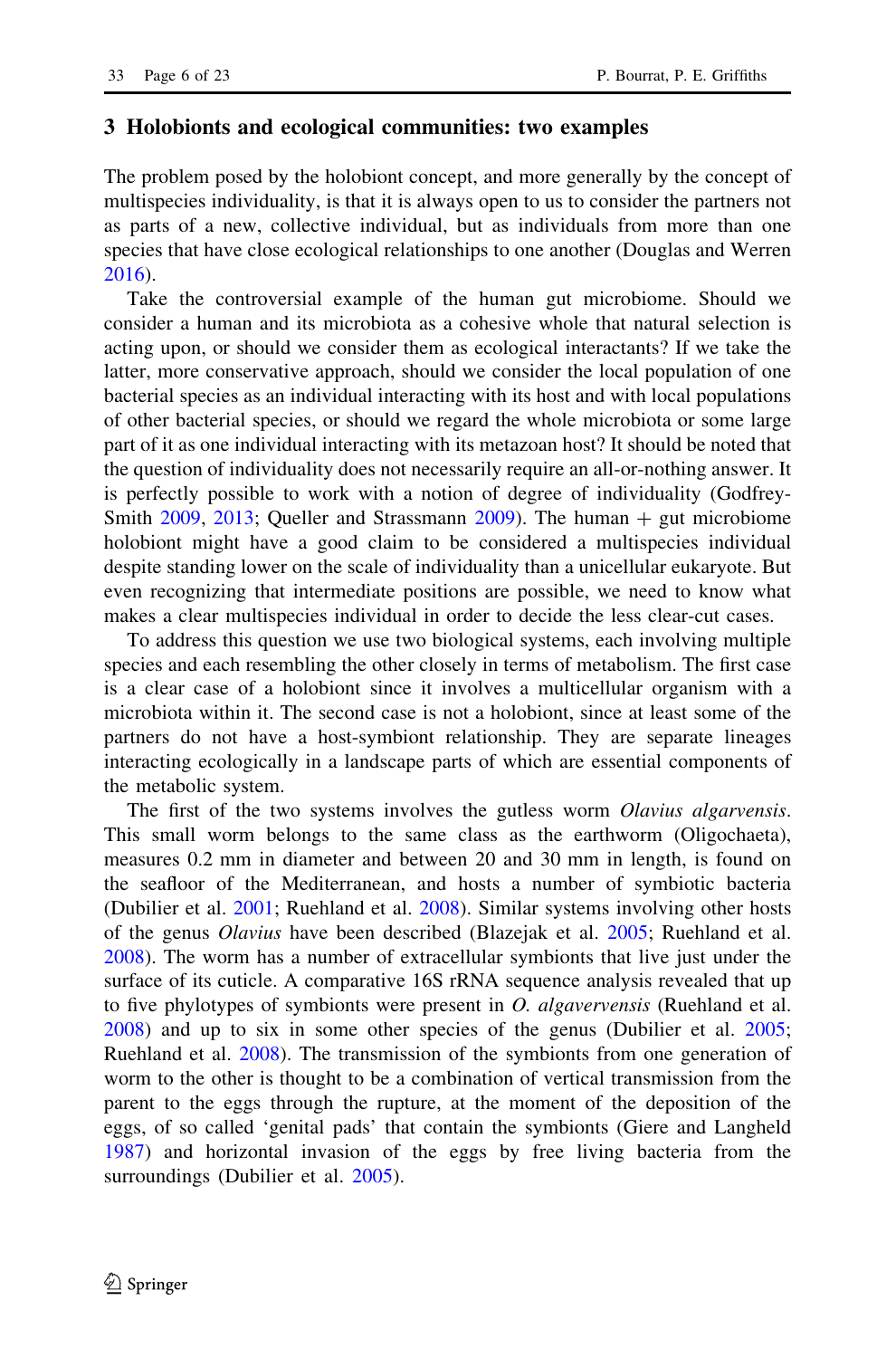#### <span id="page-5-0"></span>3 Holobionts and ecological communities: two examples

The problem posed by the holobiont concept, and more generally by the concept of multispecies individuality, is that it is always open to us to consider the partners not as parts of a new, collective individual, but as individuals from more than one species that have close ecological relationships to one another (Douglas and Werren [2016\)](#page-20-0).

Take the controversial example of the human gut microbiome. Should we consider a human and its microbiota as a cohesive whole that natural selection is acting upon, or should we consider them as ecological interactants? If we take the latter, more conservative approach, should we consider the local population of one bacterial species as an individual interacting with its host and with local populations of other bacterial species, or should we regard the whole microbiota or some large part of it as one individual interacting with its metazoan host? It should be noted that the question of individuality does not necessarily require an all-or-nothing answer. It is perfectly possible to work with a notion of degree of individuality (Godfrey-Smith  $2009$ ,  $2013$ ; Queller and Strassmann  $2009$ ). The human  $+$  gut microbiome holobiont might have a good claim to be considered a multispecies individual despite standing lower on the scale of individuality than a unicellular eukaryote. But even recognizing that intermediate positions are possible, we need to know what makes a clear multispecies individual in order to decide the less clear-cut cases.

To address this question we use two biological systems, each involving multiple species and each resembling the other closely in terms of metabolism. The first case is a clear case of a holobiont since it involves a multicellular organism with a microbiota within it. The second case is not a holobiont, since at least some of the partners do not have a host-symbiont relationship. They are separate lineages interacting ecologically in a landscape parts of which are essential components of the metabolic system.

The first of the two systems involves the gutless worm Olavius algarvensis. This small worm belongs to the same class as the earthworm (Oligochaeta), measures 0.2 mm in diameter and between 20 and 30 mm in length, is found on the seafloor of the Mediterranean, and hosts a number of symbiotic bacteria (Dubilier et al. [2001](#page-20-0); Ruehland et al. [2008\)](#page-22-0). Similar systems involving other hosts of the genus Olavius have been described (Blazejak et al. [2005](#page-19-0); Ruehland et al. [2008\)](#page-22-0). The worm has a number of extracellular symbionts that live just under the surface of its cuticle. A comparative 16S rRNA sequence analysis revealed that up to five phylotypes of symbionts were present in *O. algavervensis* (Ruehland et al. [2008\)](#page-22-0) and up to six in some other species of the genus (Dubilier et al. [2005;](#page-20-0) Ruehland et al. [2008](#page-22-0)). The transmission of the symbionts from one generation of worm to the other is thought to be a combination of vertical transmission from the parent to the eggs through the rupture, at the moment of the deposition of the eggs, of so called 'genital pads' that contain the symbionts (Giere and Langheld [1987\)](#page-20-0) and horizontal invasion of the eggs by free living bacteria from the surroundings (Dubilier et al. [2005\)](#page-20-0).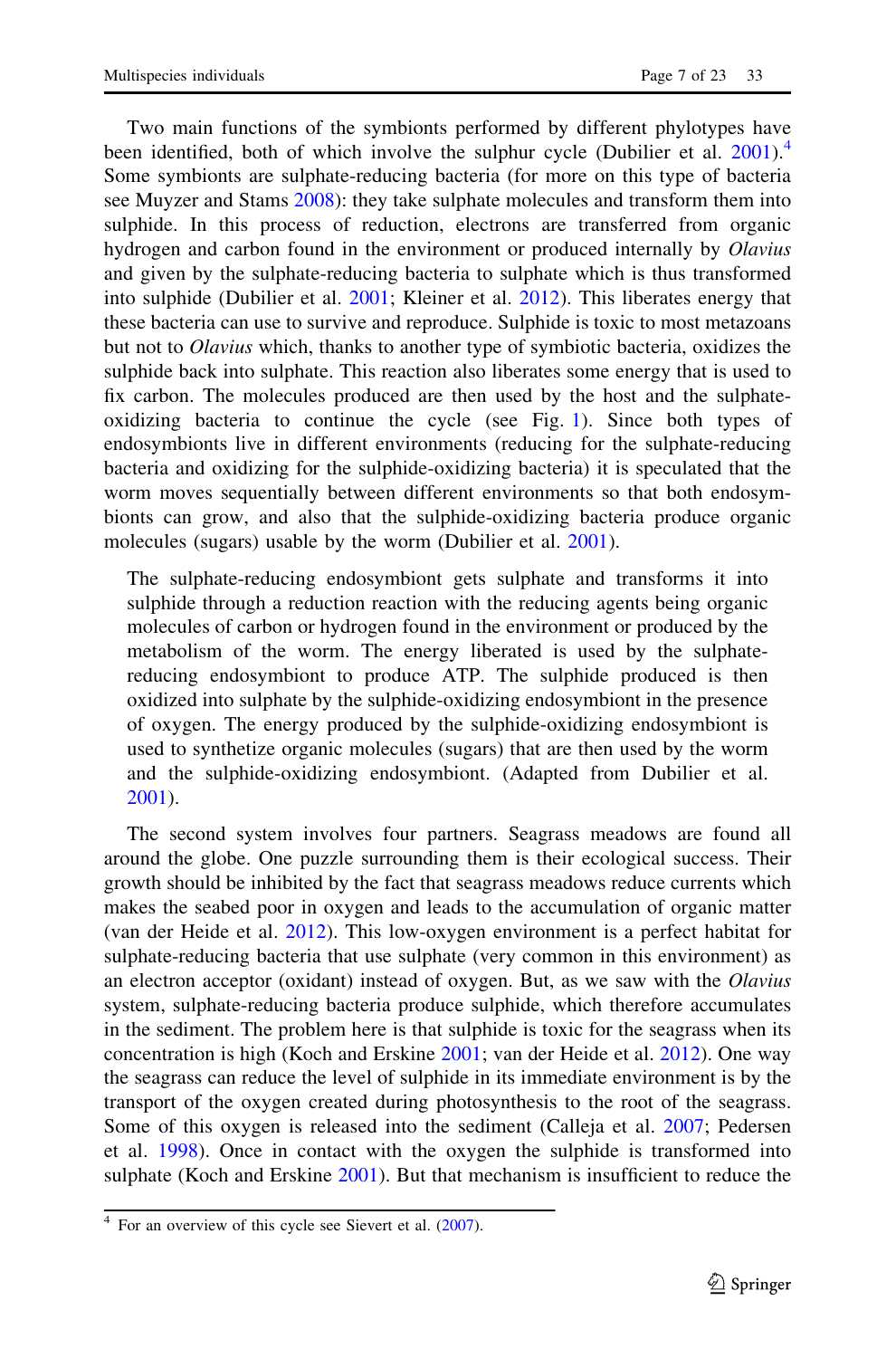Two main functions of the symbionts performed by different phylotypes have been identified, both of which involve the sulphur cycle (Dubilier et al.  $2001$ ).<sup>4</sup> Some symbionts are sulphate-reducing bacteria (for more on this type of bacteria see Muyzer and Stams [2008](#page-21-0)): they take sulphate molecules and transform them into sulphide. In this process of reduction, electrons are transferred from organic hydrogen and carbon found in the environment or produced internally by *Olavius* and given by the sulphate-reducing bacteria to sulphate which is thus transformed into sulphide (Dubilier et al. [2001](#page-20-0); Kleiner et al. [2012\)](#page-21-0). This liberates energy that these bacteria can use to survive and reproduce. Sulphide is toxic to most metazoans but not to Olavius which, thanks to another type of symbiotic bacteria, oxidizes the sulphide back into sulphate. This reaction also liberates some energy that is used to fix carbon. The molecules produced are then used by the host and the sulphateoxidizing bacteria to continue the cycle (see Fig. [1](#page-7-0)). Since both types of endosymbionts live in different environments (reducing for the sulphate-reducing bacteria and oxidizing for the sulphide-oxidizing bacteria) it is speculated that the worm moves sequentially between different environments so that both endosymbionts can grow, and also that the sulphide-oxidizing bacteria produce organic molecules (sugars) usable by the worm (Dubilier et al. [2001\)](#page-20-0).

The sulphate-reducing endosymbiont gets sulphate and transforms it into sulphide through a reduction reaction with the reducing agents being organic molecules of carbon or hydrogen found in the environment or produced by the metabolism of the worm. The energy liberated is used by the sulphatereducing endosymbiont to produce ATP. The sulphide produced is then oxidized into sulphate by the sulphide-oxidizing endosymbiont in the presence of oxygen. The energy produced by the sulphide-oxidizing endosymbiont is used to synthetize organic molecules (sugars) that are then used by the worm and the sulphide-oxidizing endosymbiont. (Adapted from Dubilier et al. [2001](#page-20-0)).

The second system involves four partners. Seagrass meadows are found all around the globe. One puzzle surrounding them is their ecological success. Their growth should be inhibited by the fact that seagrass meadows reduce currents which makes the seabed poor in oxygen and leads to the accumulation of organic matter (van der Heide et al. [2012](#page-21-0)). This low-oxygen environment is a perfect habitat for sulphate-reducing bacteria that use sulphate (very common in this environment) as an electron acceptor (oxidant) instead of oxygen. But, as we saw with the *Olavius* system, sulphate-reducing bacteria produce sulphide, which therefore accumulates in the sediment. The problem here is that sulphide is toxic for the seagrass when its concentration is high (Koch and Erskine [2001](#page-21-0); van der Heide et al. [2012\)](#page-21-0). One way the seagrass can reduce the level of sulphide in its immediate environment is by the transport of the oxygen created during photosynthesis to the root of the seagrass. Some of this oxygen is released into the sediment (Calleja et al. [2007;](#page-20-0) Pedersen et al. [1998](#page-22-0)). Once in contact with the oxygen the sulphide is transformed into sulphate (Koch and Erskine [2001\)](#page-21-0). But that mechanism is insufficient to reduce the

 $4$  For an overview of this cycle see Sievert et al.  $(2007)$  $(2007)$ .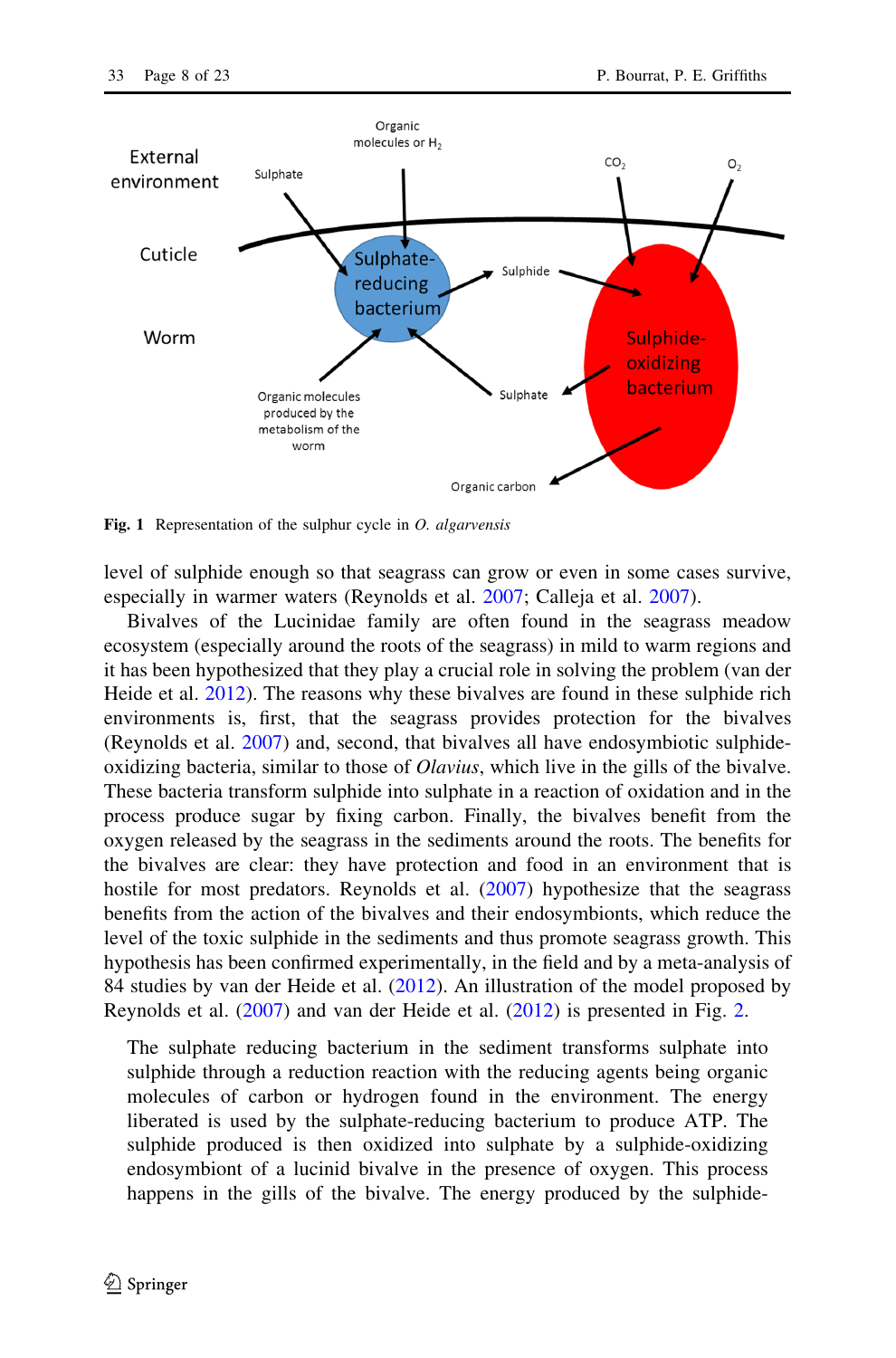<span id="page-7-0"></span>

Fig. 1 Representation of the sulphur cycle in O. algarvensis

level of sulphide enough so that seagrass can grow or even in some cases survive, especially in warmer waters (Reynolds et al. [2007;](#page-22-0) Calleja et al. [2007\)](#page-20-0).

Bivalves of the Lucinidae family are often found in the seagrass meadow ecosystem (especially around the roots of the seagrass) in mild to warm regions and it has been hypothesized that they play a crucial role in solving the problem (van der Heide et al. [2012\)](#page-21-0). The reasons why these bivalves are found in these sulphide rich environments is, first, that the seagrass provides protection for the bivalves (Reynolds et al. [2007\)](#page-22-0) and, second, that bivalves all have endosymbiotic sulphideoxidizing bacteria, similar to those of *Olavius*, which live in the gills of the bivalve. These bacteria transform sulphide into sulphate in a reaction of oxidation and in the process produce sugar by fixing carbon. Finally, the bivalves benefit from the oxygen released by the seagrass in the sediments around the roots. The benefits for the bivalves are clear: they have protection and food in an environment that is hostile for most predators. Reynolds et al. [\(2007](#page-22-0)) hypothesize that the seagrass benefits from the action of the bivalves and their endosymbionts, which reduce the level of the toxic sulphide in the sediments and thus promote seagrass growth. This hypothesis has been confirmed experimentally, in the field and by a meta-analysis of 84 studies by van der Heide et al. ([2012\)](#page-21-0). An illustration of the model proposed by Reynolds et al. [\(2007](#page-22-0)) and van der Heide et al. ([2012\)](#page-21-0) is presented in Fig. [2](#page-8-0).

The sulphate reducing bacterium in the sediment transforms sulphate into sulphide through a reduction reaction with the reducing agents being organic molecules of carbon or hydrogen found in the environment. The energy liberated is used by the sulphate-reducing bacterium to produce ATP. The sulphide produced is then oxidized into sulphate by a sulphide-oxidizing endosymbiont of a lucinid bivalve in the presence of oxygen. This process happens in the gills of the bivalve. The energy produced by the sulphide-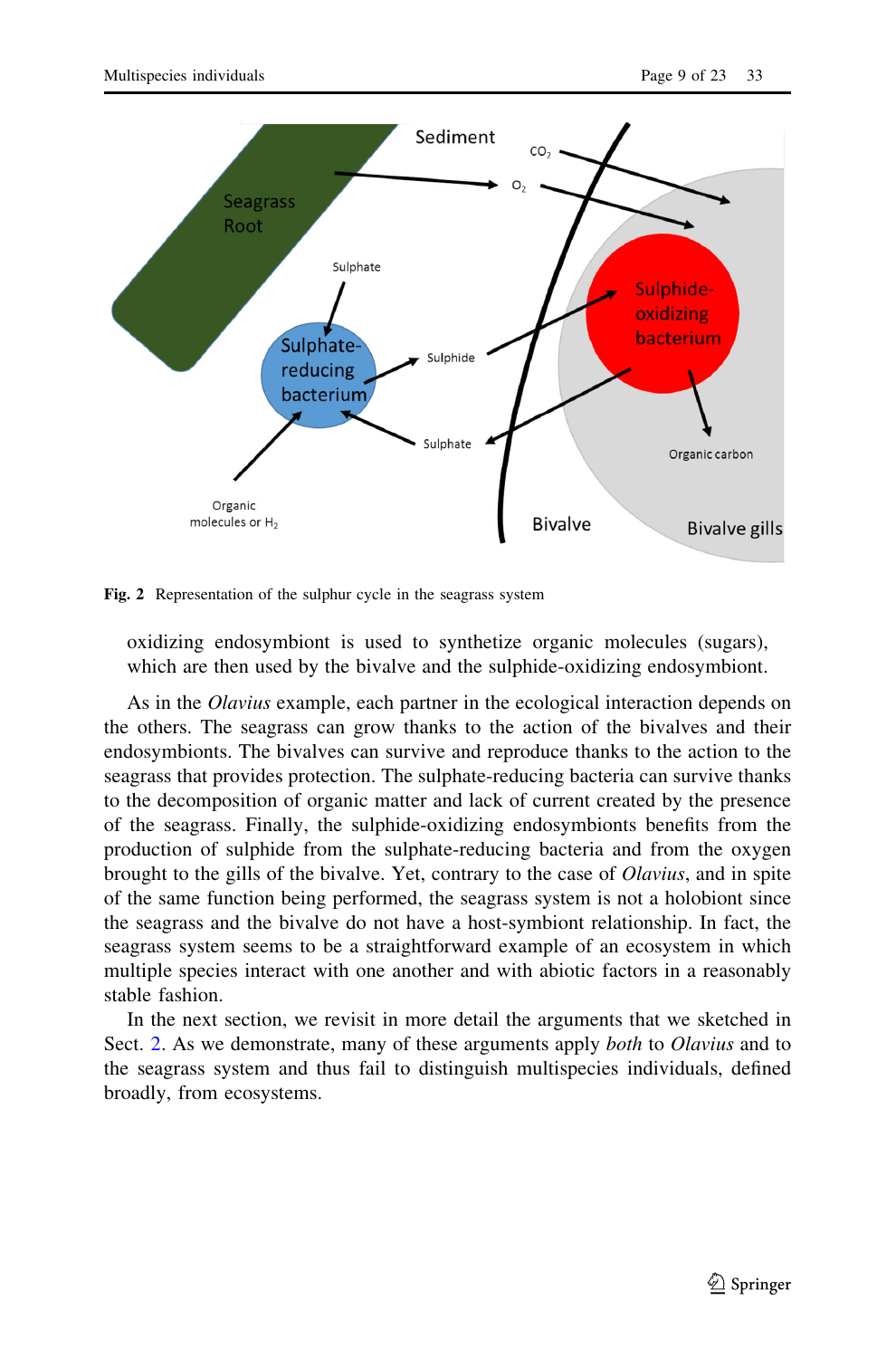<span id="page-8-0"></span>

Fig. 2 Representation of the sulphur cycle in the seagrass system

oxidizing endosymbiont is used to synthetize organic molecules (sugars), which are then used by the bivalve and the sulphide-oxidizing endosymbiont.

As in the Olavius example, each partner in the ecological interaction depends on the others. The seagrass can grow thanks to the action of the bivalves and their endosymbionts. The bivalves can survive and reproduce thanks to the action to the seagrass that provides protection. The sulphate-reducing bacteria can survive thanks to the decomposition of organic matter and lack of current created by the presence of the seagrass. Finally, the sulphide-oxidizing endosymbionts benefits from the production of sulphide from the sulphate-reducing bacteria and from the oxygen brought to the gills of the bivalve. Yet, contrary to the case of *Olavius*, and in spite of the same function being performed, the seagrass system is not a holobiont since the seagrass and the bivalve do not have a host-symbiont relationship. In fact, the seagrass system seems to be a straightforward example of an ecosystem in which multiple species interact with one another and with abiotic factors in a reasonably stable fashion.

In the next section, we revisit in more detail the arguments that we sketched in Sect. [2](#page-3-0). As we demonstrate, many of these arguments apply *both* to *Olavius* and to the seagrass system and thus fail to distinguish multispecies individuals, defined broadly, from ecosystems.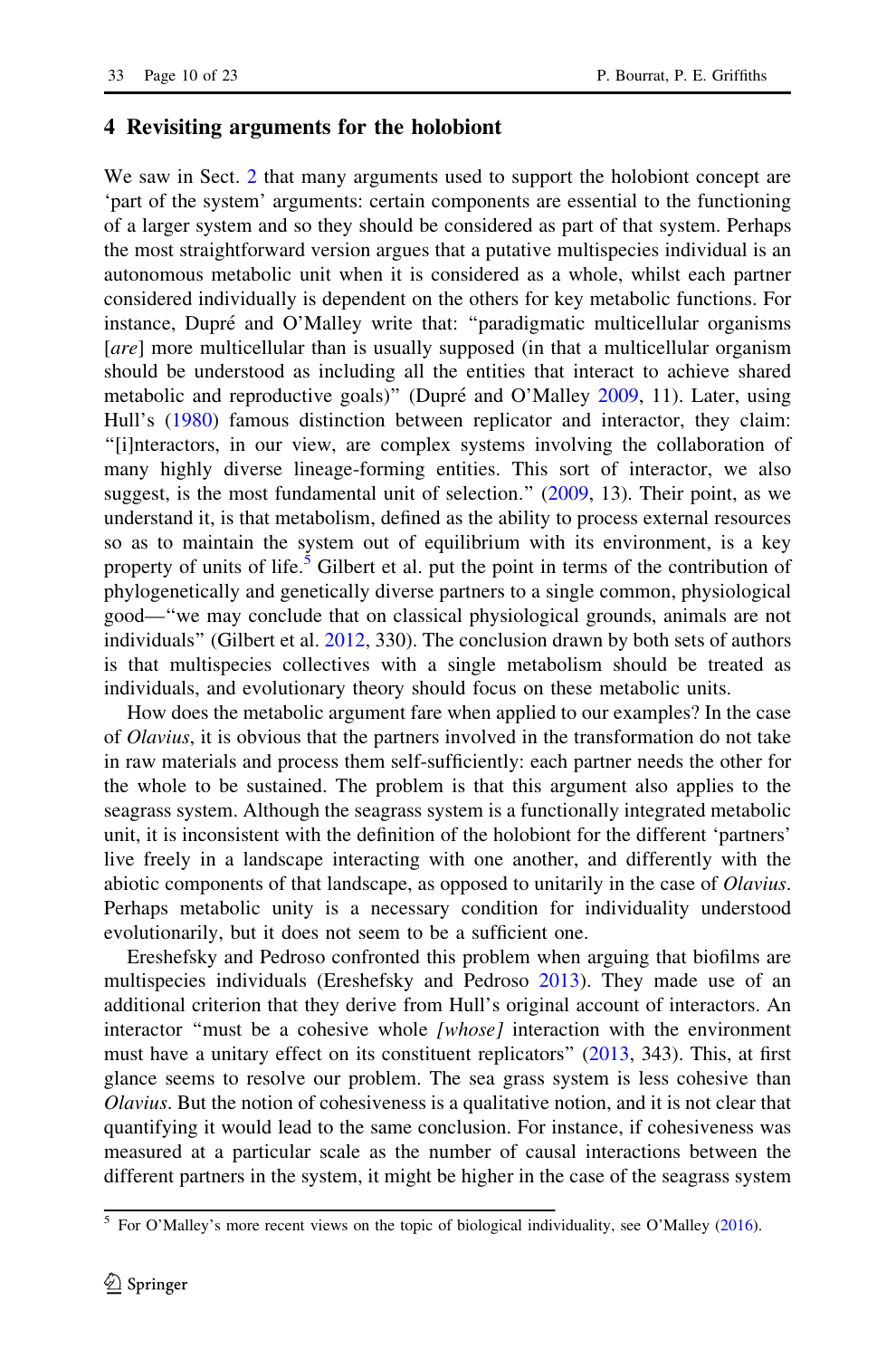#### <span id="page-9-0"></span>4 Revisiting arguments for the holobiont

We saw in Sect. [2](#page-3-0) that many arguments used to support the holobiont concept are 'part of the system' arguments: certain components are essential to the functioning of a larger system and so they should be considered as part of that system. Perhaps the most straightforward version argues that a putative multispecies individual is an autonomous metabolic unit when it is considered as a whole, whilst each partner considered individually is dependent on the others for key metabolic functions. For instance, Dupré and O'Malley write that: "paradigmatic multicellular organisms [are] more multicellular than is usually supposed (in that a multicellular organism should be understood as including all the entities that interact to achieve shared metabolic and reproductive goals)" (Dupré and O'Malley [2009](#page-20-0), 11). Later, using Hull's [\(1980](#page-21-0)) famous distinction between replicator and interactor, they claim: ''[i]nteractors, in our view, are complex systems involving the collaboration of many highly diverse lineage-forming entities. This sort of interactor, we also suggest, is the most fundamental unit of selection." ([2009,](#page-20-0) 13). Their point, as we understand it, is that metabolism, defined as the ability to process external resources so as to maintain the system out of equilibrium with its environment, is a key property of units of life.<sup>5</sup> Gilbert et al. put the point in terms of the contribution of phylogenetically and genetically diverse partners to a single common, physiological good—''we may conclude that on classical physiological grounds, animals are not individuals'' (Gilbert et al. [2012](#page-20-0), 330). The conclusion drawn by both sets of authors is that multispecies collectives with a single metabolism should be treated as individuals, and evolutionary theory should focus on these metabolic units.

How does the metabolic argument fare when applied to our examples? In the case of Olavius, it is obvious that the partners involved in the transformation do not take in raw materials and process them self-sufficiently: each partner needs the other for the whole to be sustained. The problem is that this argument also applies to the seagrass system. Although the seagrass system is a functionally integrated metabolic unit, it is inconsistent with the definition of the holobiont for the different 'partners' live freely in a landscape interacting with one another, and differently with the abiotic components of that landscape, as opposed to unitarily in the case of Olavius. Perhaps metabolic unity is a necessary condition for individuality understood evolutionarily, but it does not seem to be a sufficient one.

Ereshefsky and Pedroso confronted this problem when arguing that biofilms are multispecies individuals (Ereshefsky and Pedroso [2013\)](#page-20-0). They made use of an additional criterion that they derive from Hull's original account of interactors. An interactor "must be a cohesive whole [whose] interaction with the environment must have a unitary effect on its constituent replicators'' ([2013,](#page-20-0) 343). This, at first glance seems to resolve our problem. The sea grass system is less cohesive than Olavius. But the notion of cohesiveness is a qualitative notion, and it is not clear that quantifying it would lead to the same conclusion. For instance, if cohesiveness was measured at a particular scale as the number of causal interactions between the different partners in the system, it might be higher in the case of the seagrass system

 $5$  For O'Malley's more recent views on the topic of biological individuality, see O'Malley ([2016](#page-21-0)).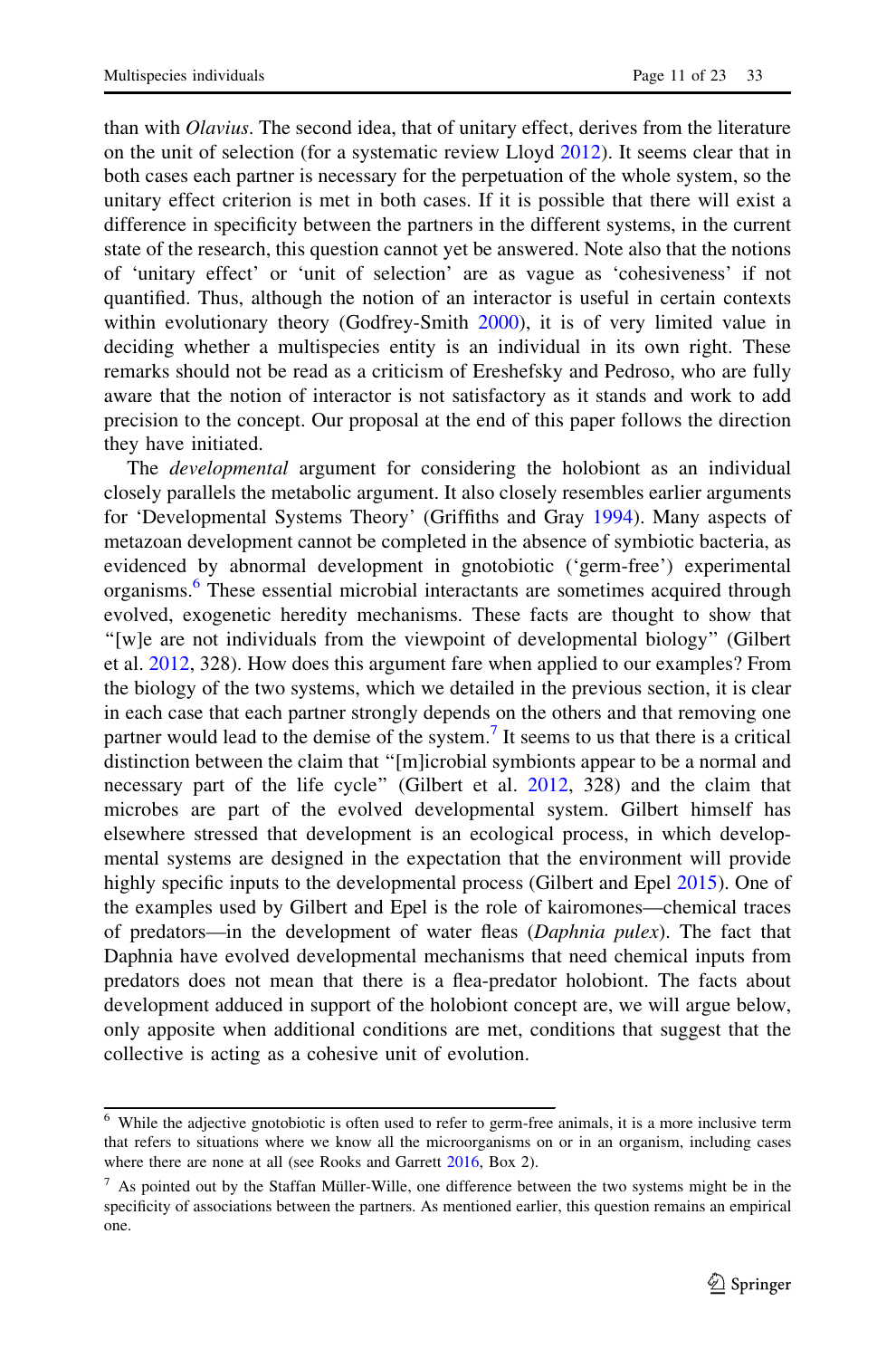than with Olavius. The second idea, that of unitary effect, derives from the literature on the unit of selection (for a systematic review Lloyd [2012\)](#page-21-0). It seems clear that in both cases each partner is necessary for the perpetuation of the whole system, so the unitary effect criterion is met in both cases. If it is possible that there will exist a difference in specificity between the partners in the different systems, in the current state of the research, this question cannot yet be answered. Note also that the notions of 'unitary effect' or 'unit of selection' are as vague as 'cohesiveness' if not quantified. Thus, although the notion of an interactor is useful in certain contexts within evolutionary theory (Godfrey-Smith [2000\)](#page-20-0), it is of very limited value in deciding whether a multispecies entity is an individual in its own right. These remarks should not be read as a criticism of Ereshefsky and Pedroso, who are fully aware that the notion of interactor is not satisfactory as it stands and work to add precision to the concept. Our proposal at the end of this paper follows the direction they have initiated.

The *developmental* argument for considering the holobiont as an individual closely parallels the metabolic argument. It also closely resembles earlier arguments for 'Developmental Systems Theory' (Griffiths and Gray [1994\)](#page-20-0). Many aspects of metazoan development cannot be completed in the absence of symbiotic bacteria, as evidenced by abnormal development in gnotobiotic ('germ-free') experimental organisms.<sup>6</sup> These essential microbial interactants are sometimes acquired through evolved, exogenetic heredity mechanisms. These facts are thought to show that ''[w]e are not individuals from the viewpoint of developmental biology'' (Gilbert et al. [2012](#page-20-0), 328). How does this argument fare when applied to our examples? From the biology of the two systems, which we detailed in the previous section, it is clear in each case that each partner strongly depends on the others and that removing one partner would lead to the demise of the system.<sup>7</sup> It seems to us that there is a critical distinction between the claim that ''[m]icrobial symbionts appear to be a normal and necessary part of the life cycle'' (Gilbert et al. [2012,](#page-20-0) 328) and the claim that microbes are part of the evolved developmental system. Gilbert himself has elsewhere stressed that development is an ecological process, in which developmental systems are designed in the expectation that the environment will provide highly specific inputs to the developmental process (Gilbert and Epel [2015](#page-20-0)). One of the examples used by Gilbert and Epel is the role of kairomones—chemical traces of predators—in the development of water fleas (Daphnia pulex). The fact that Daphnia have evolved developmental mechanisms that need chemical inputs from predators does not mean that there is a flea-predator holobiont. The facts about development adduced in support of the holobiont concept are, we will argue below, only apposite when additional conditions are met, conditions that suggest that the collective is acting as a cohesive unit of evolution.

<sup>&</sup>lt;sup>6</sup> While the adjective gnotobiotic is often used to refer to germ-free animals, it is a more inclusive term that refers to situations where we know all the microorganisms on or in an organism, including cases where there are none at all (see Rooks and Garrett [2016](#page-22-0), Box 2).

 $<sup>7</sup>$  As pointed out by the Staffan Müller-Wille, one difference between the two systems might be in the</sup> specificity of associations between the partners. As mentioned earlier, this question remains an empirical one.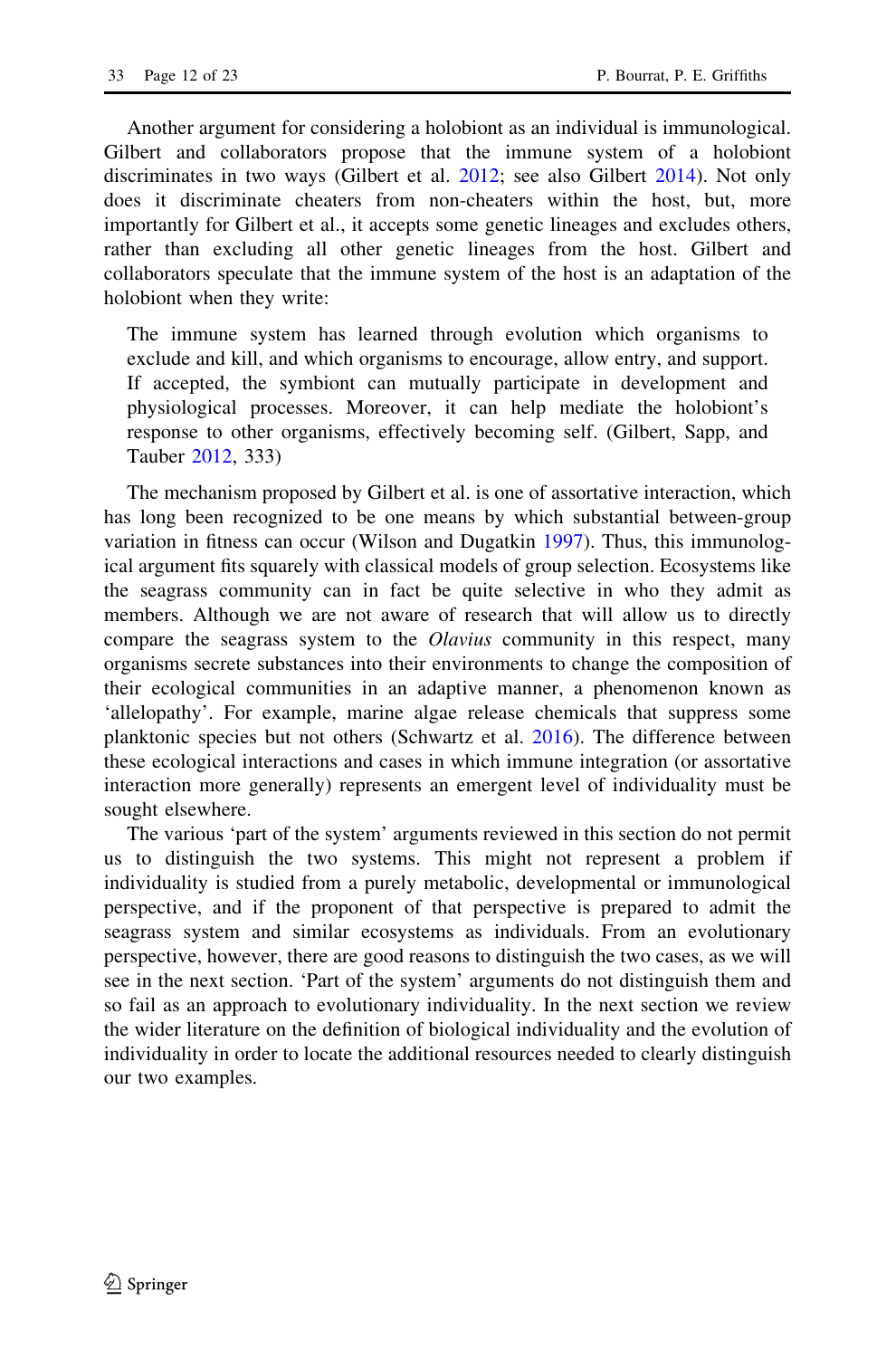Another argument for considering a holobiont as an individual is immunological. Gilbert and collaborators propose that the immune system of a holobiont discriminates in two ways (Gilbert et al. [2012](#page-20-0); see also Gilbert [2014\)](#page-20-0). Not only does it discriminate cheaters from non-cheaters within the host, but, more importantly for Gilbert et al., it accepts some genetic lineages and excludes others, rather than excluding all other genetic lineages from the host. Gilbert and collaborators speculate that the immune system of the host is an adaptation of the holobiont when they write:

The immune system has learned through evolution which organisms to exclude and kill, and which organisms to encourage, allow entry, and support. If accepted, the symbiont can mutually participate in development and physiological processes. Moreover, it can help mediate the holobiont's response to other organisms, effectively becoming self. (Gilbert, Sapp, and Tauber [2012](#page-20-0), 333)

The mechanism proposed by Gilbert et al. is one of assortative interaction, which has long been recognized to be one means by which substantial between-group variation in fitness can occur (Wilson and Dugatkin [1997](#page-22-0)). Thus, this immunological argument fits squarely with classical models of group selection. Ecosystems like the seagrass community can in fact be quite selective in who they admit as members. Although we are not aware of research that will allow us to directly compare the seagrass system to the *Olavius* community in this respect, many organisms secrete substances into their environments to change the composition of their ecological communities in an adaptive manner, a phenomenon known as 'allelopathy'. For example, marine algae release chemicals that suppress some planktonic species but not others (Schwartz et al. [2016](#page-22-0)). The difference between these ecological interactions and cases in which immune integration (or assortative interaction more generally) represents an emergent level of individuality must be sought elsewhere.

The various 'part of the system' arguments reviewed in this section do not permit us to distinguish the two systems. This might not represent a problem if individuality is studied from a purely metabolic, developmental or immunological perspective, and if the proponent of that perspective is prepared to admit the seagrass system and similar ecosystems as individuals. From an evolutionary perspective, however, there are good reasons to distinguish the two cases, as we will see in the next section. 'Part of the system' arguments do not distinguish them and so fail as an approach to evolutionary individuality. In the next section we review the wider literature on the definition of biological individuality and the evolution of individuality in order to locate the additional resources needed to clearly distinguish our two examples.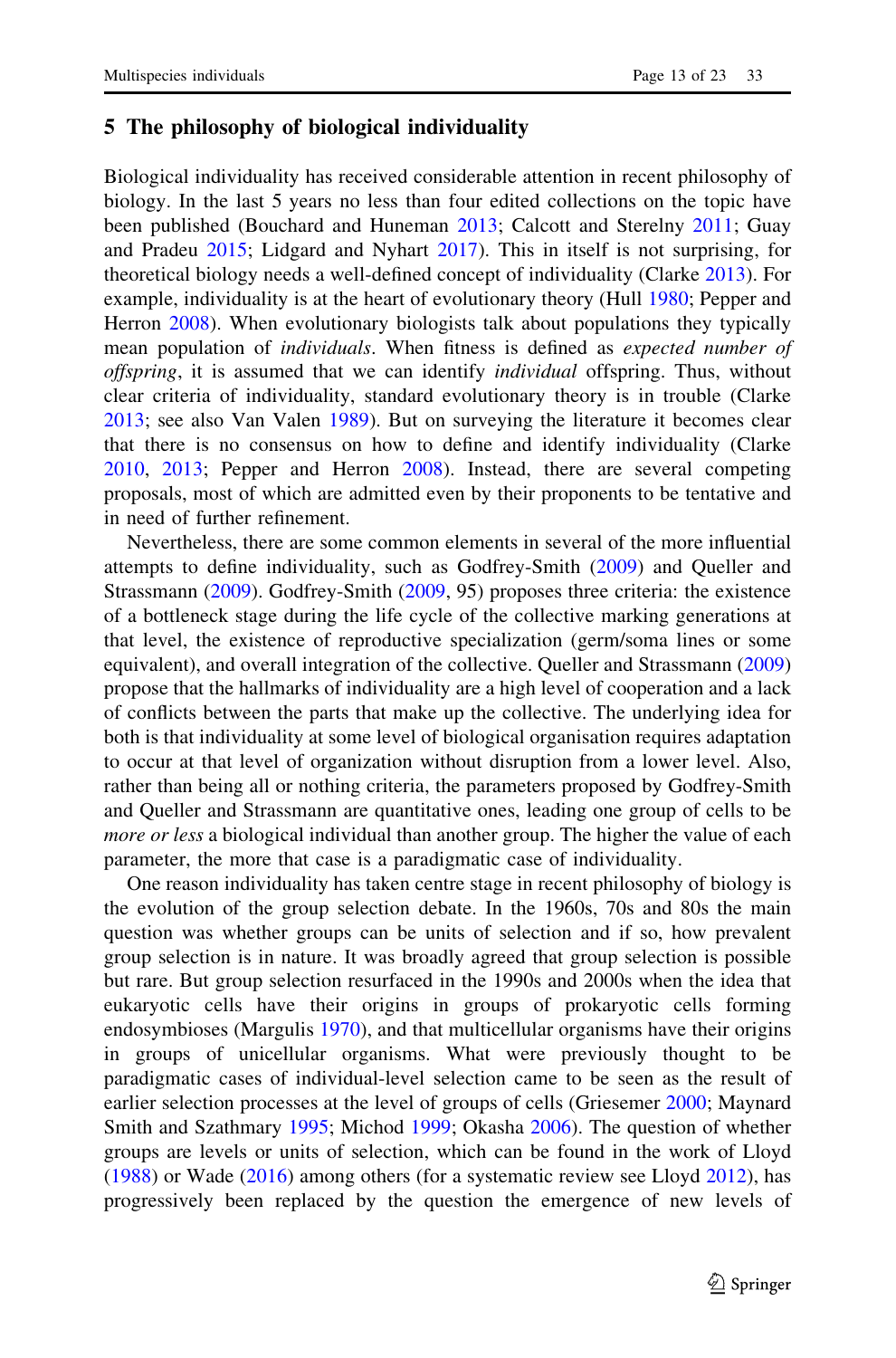## <span id="page-12-0"></span>5 The philosophy of biological individuality

Biological individuality has received considerable attention in recent philosophy of biology. In the last 5 years no less than four edited collections on the topic have been published (Bouchard and Huneman [2013](#page-19-0); Calcott and Sterelny [2011;](#page-20-0) Guay and Pradeu [2015](#page-21-0); Lidgard and Nyhart [2017\)](#page-21-0). This in itself is not surprising, for theoretical biology needs a well-defined concept of individuality (Clarke [2013](#page-20-0)). For example, individuality is at the heart of evolutionary theory (Hull [1980;](#page-21-0) Pepper and Herron [2008\)](#page-22-0). When evolutionary biologists talk about populations they typically mean population of individuals. When fitness is defined as expected number of offspring, it is assumed that we can identify individual offspring. Thus, without clear criteria of individuality, standard evolutionary theory is in trouble (Clarke [2013;](#page-20-0) see also Van Valen [1989](#page-22-0)). But on surveying the literature it becomes clear that there is no consensus on how to define and identify individuality (Clarke [2010,](#page-20-0) [2013;](#page-20-0) Pepper and Herron [2008](#page-22-0)). Instead, there are several competing proposals, most of which are admitted even by their proponents to be tentative and in need of further refinement.

Nevertheless, there are some common elements in several of the more influential attempts to define individuality, such as Godfrey-Smith ([2009\)](#page-20-0) and Queller and Strassmann [\(2009](#page-22-0)). Godfrey-Smith ([2009,](#page-20-0) 95) proposes three criteria: the existence of a bottleneck stage during the life cycle of the collective marking generations at that level, the existence of reproductive specialization (germ/soma lines or some equivalent), and overall integration of the collective. Queller and Strassmann [\(2009](#page-22-0)) propose that the hallmarks of individuality are a high level of cooperation and a lack of conflicts between the parts that make up the collective. The underlying idea for both is that individuality at some level of biological organisation requires adaptation to occur at that level of organization without disruption from a lower level. Also, rather than being all or nothing criteria, the parameters proposed by Godfrey-Smith and Queller and Strassmann are quantitative ones, leading one group of cells to be more or less a biological individual than another group. The higher the value of each parameter, the more that case is a paradigmatic case of individuality.

One reason individuality has taken centre stage in recent philosophy of biology is the evolution of the group selection debate. In the 1960s, 70s and 80s the main question was whether groups can be units of selection and if so, how prevalent group selection is in nature. It was broadly agreed that group selection is possible but rare. But group selection resurfaced in the 1990s and 2000s when the idea that eukaryotic cells have their origins in groups of prokaryotic cells forming endosymbioses (Margulis [1970\)](#page-21-0), and that multicellular organisms have their origins in groups of unicellular organisms. What were previously thought to be paradigmatic cases of individual-level selection came to be seen as the result of earlier selection processes at the level of groups of cells (Griesemer [2000;](#page-20-0) Maynard Smith and Szathmary [1995](#page-21-0); Michod [1999](#page-21-0); Okasha [2006](#page-21-0)). The question of whether groups are levels or units of selection, which can be found in the work of Lloyd [\(1988](#page-21-0)) or Wade ([2016\)](#page-22-0) among others (for a systematic review see Lloyd [2012](#page-21-0)), has progressively been replaced by the question the emergence of new levels of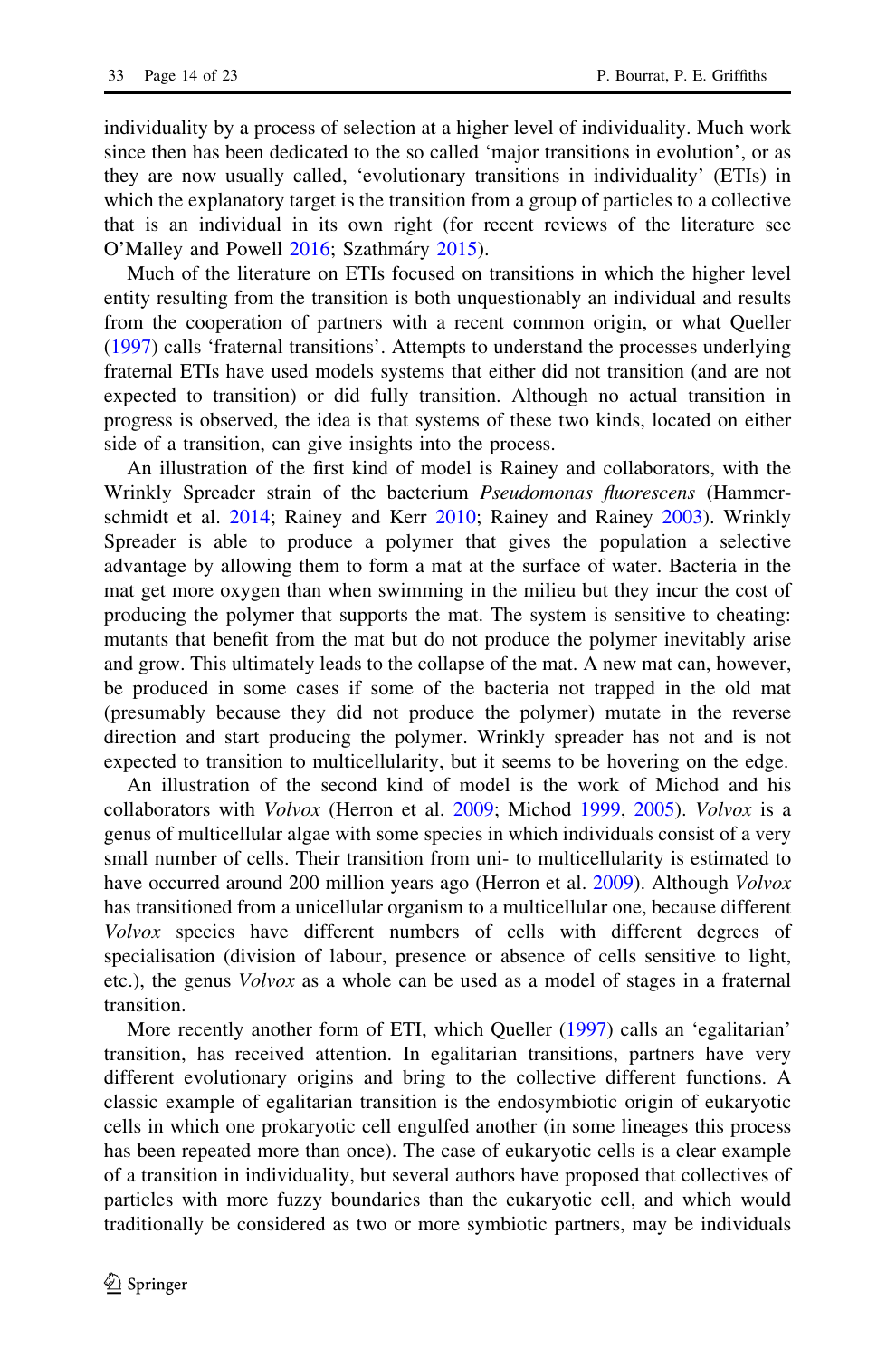individuality by a process of selection at a higher level of individuality. Much work since then has been dedicated to the so called 'major transitions in evolution', or as they are now usually called, 'evolutionary transitions in individuality' (ETIs) in which the explanatory target is the transition from a group of particles to a collective that is an individual in its own right (for recent reviews of the literature see O'Malley and Powell [2016](#page-21-0); Szathmáry [2015](#page-22-0)).

Much of the literature on ETIs focused on transitions in which the higher level entity resulting from the transition is both unquestionably an individual and results from the cooperation of partners with a recent common origin, or what Queller [\(1997](#page-22-0)) calls 'fraternal transitions'. Attempts to understand the processes underlying fraternal ETIs have used models systems that either did not transition (and are not expected to transition) or did fully transition. Although no actual transition in progress is observed, the idea is that systems of these two kinds, located on either side of a transition, can give insights into the process.

An illustration of the first kind of model is Rainey and collaborators, with the Wrinkly Spreader strain of the bacterium *Pseudomonas fluorescens* (Hammerschmidt et al. [2014;](#page-21-0) Rainey and Kerr [2010;](#page-22-0) Rainey and Rainey [2003\)](#page-22-0). Wrinkly Spreader is able to produce a polymer that gives the population a selective advantage by allowing them to form a mat at the surface of water. Bacteria in the mat get more oxygen than when swimming in the milieu but they incur the cost of producing the polymer that supports the mat. The system is sensitive to cheating: mutants that benefit from the mat but do not produce the polymer inevitably arise and grow. This ultimately leads to the collapse of the mat. A new mat can, however, be produced in some cases if some of the bacteria not trapped in the old mat (presumably because they did not produce the polymer) mutate in the reverse direction and start producing the polymer. Wrinkly spreader has not and is not expected to transition to multicellularity, but it seems to be hovering on the edge.

An illustration of the second kind of model is the work of Michod and his collaborators with Volvox (Herron et al. [2009](#page-21-0); Michod [1999,](#page-21-0) [2005](#page-21-0)). Volvox is a genus of multicellular algae with some species in which individuals consist of a very small number of cells. Their transition from uni- to multicellularity is estimated to have occurred around 200 million years ago (Herron et al. [2009\)](#page-21-0). Although *Volvox* has transitioned from a unicellular organism to a multicellular one, because different Volvox species have different numbers of cells with different degrees of specialisation (division of labour, presence or absence of cells sensitive to light, etc.), the genus Volvox as a whole can be used as a model of stages in a fraternal transition.

More recently another form of ETI, which Queller ([1997\)](#page-22-0) calls an 'egalitarian' transition, has received attention. In egalitarian transitions, partners have very different evolutionary origins and bring to the collective different functions. A classic example of egalitarian transition is the endosymbiotic origin of eukaryotic cells in which one prokaryotic cell engulfed another (in some lineages this process has been repeated more than once). The case of eukaryotic cells is a clear example of a transition in individuality, but several authors have proposed that collectives of particles with more fuzzy boundaries than the eukaryotic cell, and which would traditionally be considered as two or more symbiotic partners, may be individuals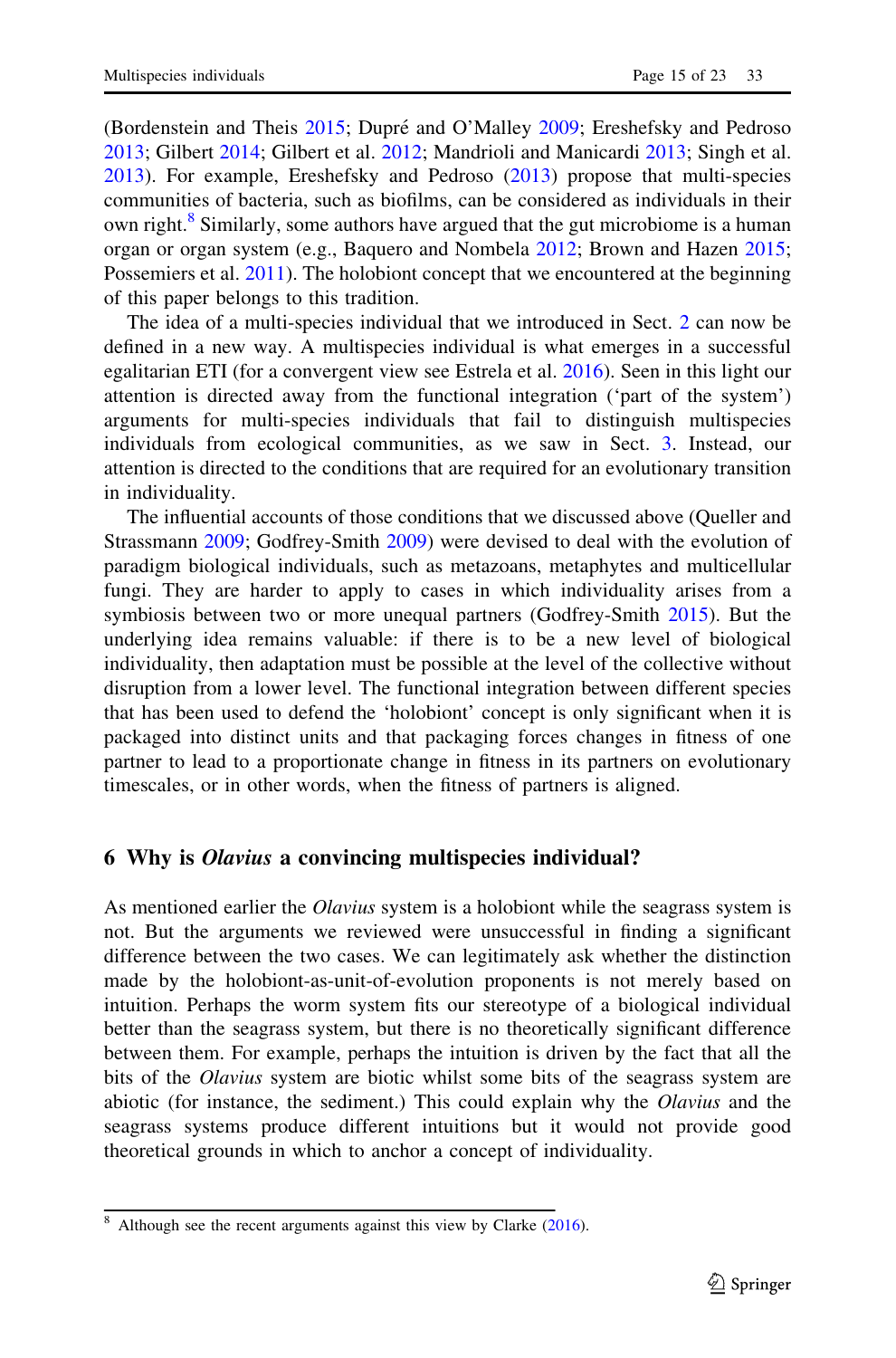(Bordenstein and Theis [2015;](#page-19-0) Dupré and O'Malley [2009](#page-20-0); Ereshefsky and Pedroso [2013;](#page-20-0) Gilbert [2014;](#page-20-0) Gilbert et al. [2012](#page-20-0); Mandrioli and Manicardi [2013;](#page-21-0) Singh et al. [2013\)](#page-22-0). For example, Ereshefsky and Pedroso [\(2013](#page-20-0)) propose that multi-species communities of bacteria, such as biofilms, can be considered as individuals in their own right.<sup>8</sup> Similarly, some authors have argued that the gut microbiome is a human organ or organ system (e.g., Baquero and Nombela [2012](#page-19-0); Brown and Hazen [2015;](#page-20-0) Possemiers et al. [2011](#page-22-0)). The holobiont concept that we encountered at the beginning of this paper belongs to this tradition.

The idea of a multi-species individual that we introduced in Sect. [2](#page-3-0) can now be defined in a new way. A multispecies individual is what emerges in a successful egalitarian ETI (for a convergent view see Estrela et al. [2016](#page-20-0)). Seen in this light our attention is directed away from the functional integration ('part of the system') arguments for multi-species individuals that fail to distinguish multispecies individuals from ecological communities, as we saw in Sect. [3.](#page-5-0) Instead, our attention is directed to the conditions that are required for an evolutionary transition in individuality.

The influential accounts of those conditions that we discussed above (Queller and Strassmann [2009](#page-22-0); Godfrey-Smith [2009\)](#page-20-0) were devised to deal with the evolution of paradigm biological individuals, such as metazoans, metaphytes and multicellular fungi. They are harder to apply to cases in which individuality arises from a symbiosis between two or more unequal partners (Godfrey-Smith [2015\)](#page-20-0). But the underlying idea remains valuable: if there is to be a new level of biological individuality, then adaptation must be possible at the level of the collective without disruption from a lower level. The functional integration between different species that has been used to defend the 'holobiont' concept is only significant when it is packaged into distinct units and that packaging forces changes in fitness of one partner to lead to a proportionate change in fitness in its partners on evolutionary timescales, or in other words, when the fitness of partners is aligned.

#### 6 Why is Olavius a convincing multispecies individual?

As mentioned earlier the *Olavius* system is a holobiont while the seagrass system is not. But the arguments we reviewed were unsuccessful in finding a significant difference between the two cases. We can legitimately ask whether the distinction made by the holobiont-as-unit-of-evolution proponents is not merely based on intuition. Perhaps the worm system fits our stereotype of a biological individual better than the seagrass system, but there is no theoretically significant difference between them. For example, perhaps the intuition is driven by the fact that all the bits of the *Olavius* system are biotic whilst some bits of the seagrass system are abiotic (for instance, the sediment.) This could explain why the *Olavius* and the seagrass systems produce different intuitions but it would not provide good theoretical grounds in which to anchor a concept of individuality.

Although see the recent arguments against this view by Clarke ([2016\)](#page-20-0).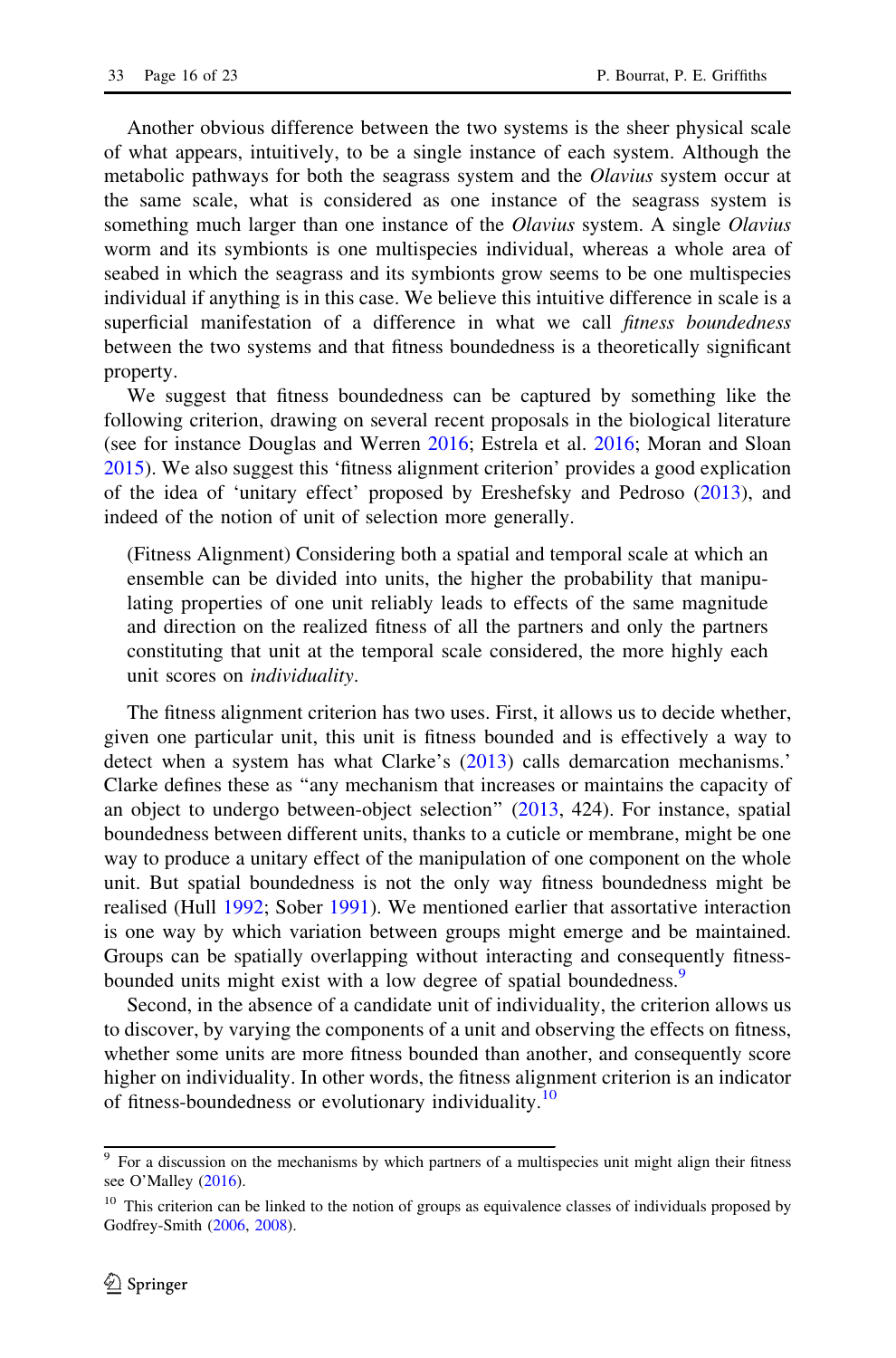Another obvious difference between the two systems is the sheer physical scale of what appears, intuitively, to be a single instance of each system. Although the metabolic pathways for both the seagrass system and the *Olavius* system occur at the same scale, what is considered as one instance of the seagrass system is something much larger than one instance of the Olavius system. A single Olavius worm and its symbionts is one multispecies individual, whereas a whole area of seabed in which the seagrass and its symbionts grow seems to be one multispecies individual if anything is in this case. We believe this intuitive difference in scale is a superficial manifestation of a difference in what we call *fitness boundedness* between the two systems and that fitness boundedness is a theoretically significant property.

We suggest that fitness boundedness can be captured by something like the following criterion, drawing on several recent proposals in the biological literature (see for instance Douglas and Werren [2016](#page-20-0); Estrela et al. [2016](#page-20-0); Moran and Sloan [2015\)](#page-21-0). We also suggest this 'fitness alignment criterion' provides a good explication of the idea of 'unitary effect' proposed by Ereshefsky and Pedroso ([2013\)](#page-20-0), and indeed of the notion of unit of selection more generally.

(Fitness Alignment) Considering both a spatial and temporal scale at which an ensemble can be divided into units, the higher the probability that manipulating properties of one unit reliably leads to effects of the same magnitude and direction on the realized fitness of all the partners and only the partners constituting that unit at the temporal scale considered, the more highly each unit scores on individuality.

The fitness alignment criterion has two uses. First, it allows us to decide whether, given one particular unit, this unit is fitness bounded and is effectively a way to detect when a system has what Clarke's ([2013\)](#page-20-0) calls demarcation mechanisms.' Clarke defines these as ''any mechanism that increases or maintains the capacity of an object to undergo between-object selection'' [\(2013](#page-20-0), 424). For instance, spatial boundedness between different units, thanks to a cuticle or membrane, might be one way to produce a unitary effect of the manipulation of one component on the whole unit. But spatial boundedness is not the only way fitness boundedness might be realised (Hull [1992](#page-21-0); Sober [1991\)](#page-22-0). We mentioned earlier that assortative interaction is one way by which variation between groups might emerge and be maintained. Groups can be spatially overlapping without interacting and consequently fitnessbounded units might exist with a low degree of spatial boundedness.

Second, in the absence of a candidate unit of individuality, the criterion allows us to discover, by varying the components of a unit and observing the effects on fitness, whether some units are more fitness bounded than another, and consequently score higher on individuality. In other words, the fitness alignment criterion is an indicator of fitness-boundedness or evolutionary individuality.<sup>10</sup>

<sup>&</sup>lt;sup>9</sup> For a discussion on the mechanisms by which partners of a multispecies unit might align their fitness see O'Malley [\(2016](#page-21-0)).

<sup>&</sup>lt;sup>10</sup> This criterion can be linked to the notion of groups as equivalence classes of individuals proposed by Godfrey-Smith [\(2006](#page-20-0), [2008\)](#page-20-0).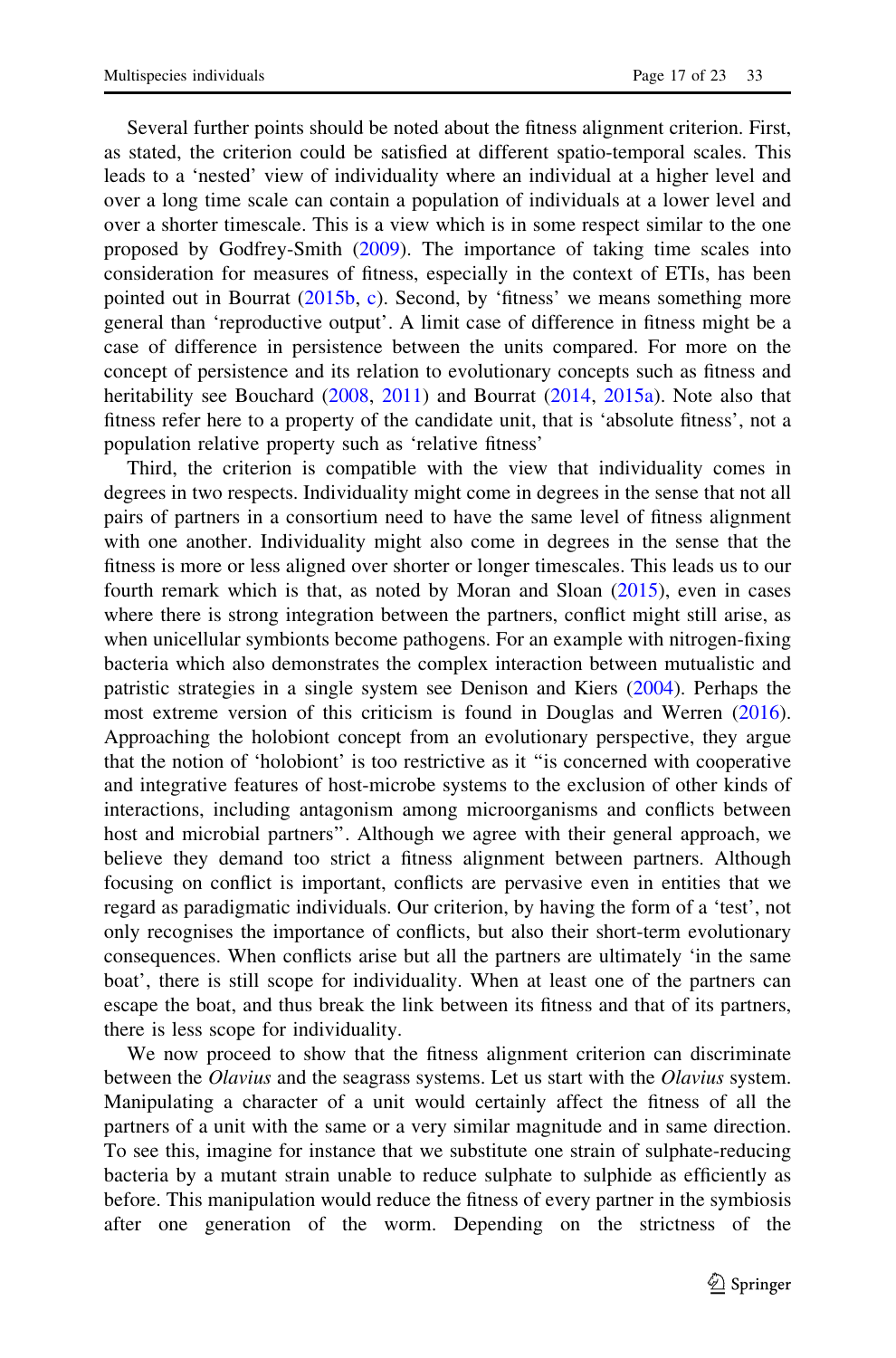Several further points should be noted about the fitness alignment criterion. First, as stated, the criterion could be satisfied at different spatio-temporal scales. This leads to a 'nested' view of individuality where an individual at a higher level and over a long time scale can contain a population of individuals at a lower level and over a shorter timescale. This is a view which is in some respect similar to the one proposed by Godfrey-Smith [\(2009](#page-20-0)). The importance of taking time scales into consideration for measures of fitness, especially in the context of ETIs, has been pointed out in Bourrat [\(2015b](#page-19-0), [c\)](#page-20-0). Second, by 'fitness' we means something more general than 'reproductive output'. A limit case of difference in fitness might be a case of difference in persistence between the units compared. For more on the concept of persistence and its relation to evolutionary concepts such as fitness and heritability see Bouchard [\(2008](#page-19-0), [2011](#page-19-0)) and Bourrat [\(2014](#page-19-0), [2015a\)](#page-19-0). Note also that fitness refer here to a property of the candidate unit, that is 'absolute fitness', not a population relative property such as 'relative fitness'

Third, the criterion is compatible with the view that individuality comes in degrees in two respects. Individuality might come in degrees in the sense that not all pairs of partners in a consortium need to have the same level of fitness alignment with one another. Individuality might also come in degrees in the sense that the fitness is more or less aligned over shorter or longer timescales. This leads us to our fourth remark which is that, as noted by Moran and Sloan [\(2015](#page-21-0)), even in cases where there is strong integration between the partners, conflict might still arise, as when unicellular symbionts become pathogens. For an example with nitrogen-fixing bacteria which also demonstrates the complex interaction between mutualistic and patristic strategies in a single system see Denison and Kiers ([2004\)](#page-20-0). Perhaps the most extreme version of this criticism is found in Douglas and Werren ([2016\)](#page-20-0). Approaching the holobiont concept from an evolutionary perspective, they argue that the notion of 'holobiont' is too restrictive as it ''is concerned with cooperative and integrative features of host-microbe systems to the exclusion of other kinds of interactions, including antagonism among microorganisms and conflicts between host and microbial partners''. Although we agree with their general approach, we believe they demand too strict a fitness alignment between partners. Although focusing on conflict is important, conflicts are pervasive even in entities that we regard as paradigmatic individuals. Our criterion, by having the form of a 'test', not only recognises the importance of conflicts, but also their short-term evolutionary consequences. When conflicts arise but all the partners are ultimately 'in the same boat', there is still scope for individuality. When at least one of the partners can escape the boat, and thus break the link between its fitness and that of its partners, there is less scope for individuality.

We now proceed to show that the fitness alignment criterion can discriminate between the *Olavius* and the seagrass systems. Let us start with the *Olavius* system. Manipulating a character of a unit would certainly affect the fitness of all the partners of a unit with the same or a very similar magnitude and in same direction. To see this, imagine for instance that we substitute one strain of sulphate-reducing bacteria by a mutant strain unable to reduce sulphate to sulphide as efficiently as before. This manipulation would reduce the fitness of every partner in the symbiosis after one generation of the worm. Depending on the strictness of the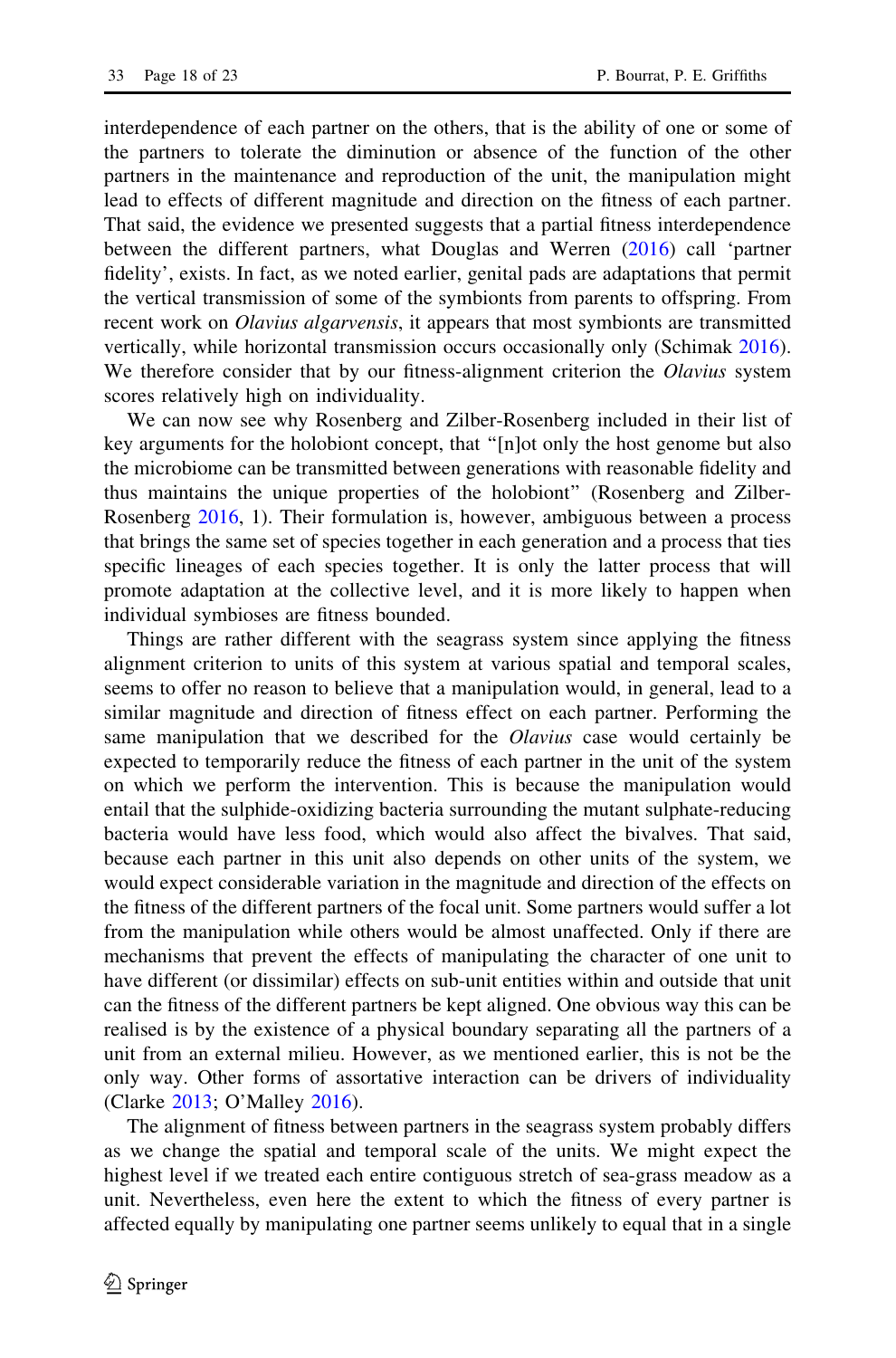interdependence of each partner on the others, that is the ability of one or some of the partners to tolerate the diminution or absence of the function of the other partners in the maintenance and reproduction of the unit, the manipulation might lead to effects of different magnitude and direction on the fitness of each partner. That said, the evidence we presented suggests that a partial fitness interdependence between the different partners, what Douglas and Werren [\(2016](#page-20-0)) call 'partner fidelity', exists. In fact, as we noted earlier, genital pads are adaptations that permit the vertical transmission of some of the symbionts from parents to offspring. From recent work on *Olavius algarvensis*, it appears that most symbionts are transmitted vertically, while horizontal transmission occurs occasionally only (Schimak [2016\)](#page-22-0). We therefore consider that by our fitness-alignment criterion the *Olavius* system scores relatively high on individuality.

We can now see why Rosenberg and Zilber-Rosenberg included in their list of key arguments for the holobiont concept, that ''[n]ot only the host genome but also the microbiome can be transmitted between generations with reasonable fidelity and thus maintains the unique properties of the holobiont'' (Rosenberg and Zilber-Rosenberg [2016](#page-22-0), 1). Their formulation is, however, ambiguous between a process that brings the same set of species together in each generation and a process that ties specific lineages of each species together. It is only the latter process that will promote adaptation at the collective level, and it is more likely to happen when individual symbioses are fitness bounded.

Things are rather different with the seagrass system since applying the fitness alignment criterion to units of this system at various spatial and temporal scales, seems to offer no reason to believe that a manipulation would, in general, lead to a similar magnitude and direction of fitness effect on each partner. Performing the same manipulation that we described for the *Olavius* case would certainly be expected to temporarily reduce the fitness of each partner in the unit of the system on which we perform the intervention. This is because the manipulation would entail that the sulphide-oxidizing bacteria surrounding the mutant sulphate-reducing bacteria would have less food, which would also affect the bivalves. That said, because each partner in this unit also depends on other units of the system, we would expect considerable variation in the magnitude and direction of the effects on the fitness of the different partners of the focal unit. Some partners would suffer a lot from the manipulation while others would be almost unaffected. Only if there are mechanisms that prevent the effects of manipulating the character of one unit to have different (or dissimilar) effects on sub-unit entities within and outside that unit can the fitness of the different partners be kept aligned. One obvious way this can be realised is by the existence of a physical boundary separating all the partners of a unit from an external milieu. However, as we mentioned earlier, this is not be the only way. Other forms of assortative interaction can be drivers of individuality (Clarke [2013](#page-20-0); O'Malley [2016\)](#page-21-0).

The alignment of fitness between partners in the seagrass system probably differs as we change the spatial and temporal scale of the units. We might expect the highest level if we treated each entire contiguous stretch of sea-grass meadow as a unit. Nevertheless, even here the extent to which the fitness of every partner is affected equally by manipulating one partner seems unlikely to equal that in a single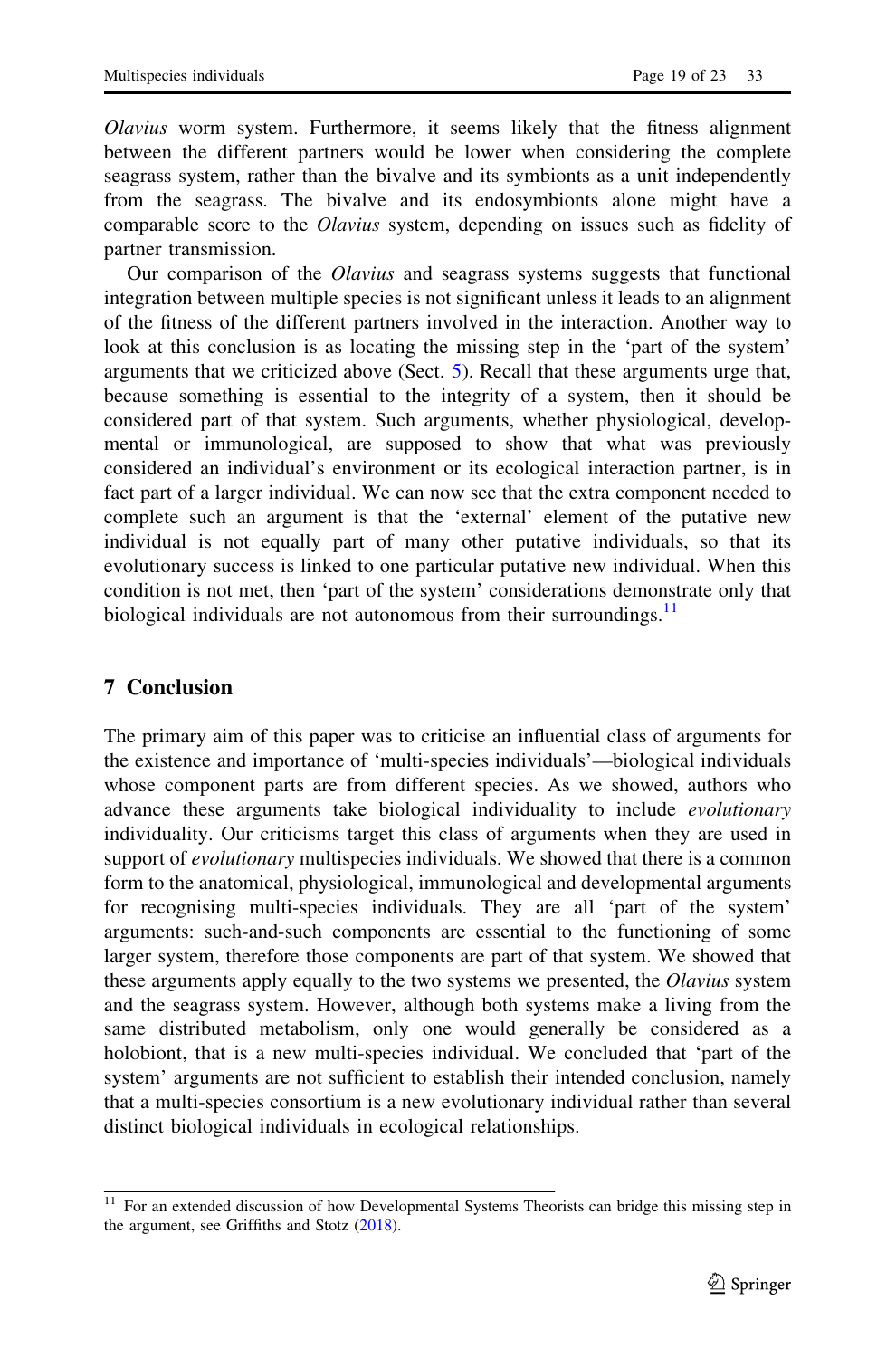Olavius worm system. Furthermore, it seems likely that the fitness alignment between the different partners would be lower when considering the complete seagrass system, rather than the bivalve and its symbionts as a unit independently from the seagrass. The bivalve and its endosymbionts alone might have a comparable score to the Olavius system, depending on issues such as fidelity of partner transmission.

Our comparison of the Olavius and seagrass systems suggests that functional integration between multiple species is not significant unless it leads to an alignment of the fitness of the different partners involved in the interaction. Another way to look at this conclusion is as locating the missing step in the 'part of the system' arguments that we criticized above (Sect. [5\)](#page-12-0). Recall that these arguments urge that, because something is essential to the integrity of a system, then it should be considered part of that system. Such arguments, whether physiological, developmental or immunological, are supposed to show that what was previously considered an individual's environment or its ecological interaction partner, is in fact part of a larger individual. We can now see that the extra component needed to complete such an argument is that the 'external' element of the putative new individual is not equally part of many other putative individuals, so that its evolutionary success is linked to one particular putative new individual. When this condition is not met, then 'part of the system' considerations demonstrate only that biological individuals are not autonomous from their surroundings.<sup>11</sup>

## 7 Conclusion

The primary aim of this paper was to criticise an influential class of arguments for the existence and importance of 'multi-species individuals'—biological individuals whose component parts are from different species. As we showed, authors who advance these arguments take biological individuality to include evolutionary individuality. Our criticisms target this class of arguments when they are used in support of *evolutionary* multispecies individuals. We showed that there is a common form to the anatomical, physiological, immunological and developmental arguments for recognising multi-species individuals. They are all 'part of the system' arguments: such-and-such components are essential to the functioning of some larger system, therefore those components are part of that system. We showed that these arguments apply equally to the two systems we presented, the *Olavius* system and the seagrass system. However, although both systems make a living from the same distributed metabolism, only one would generally be considered as a holobiont, that is a new multi-species individual. We concluded that 'part of the system' arguments are not sufficient to establish their intended conclusion, namely that a multi-species consortium is a new evolutionary individual rather than several distinct biological individuals in ecological relationships.

<sup>11</sup> For an extended discussion of how Developmental Systems Theorists can bridge this missing step in the argument, see Griffiths and Stotz [\(2018](#page-21-0)).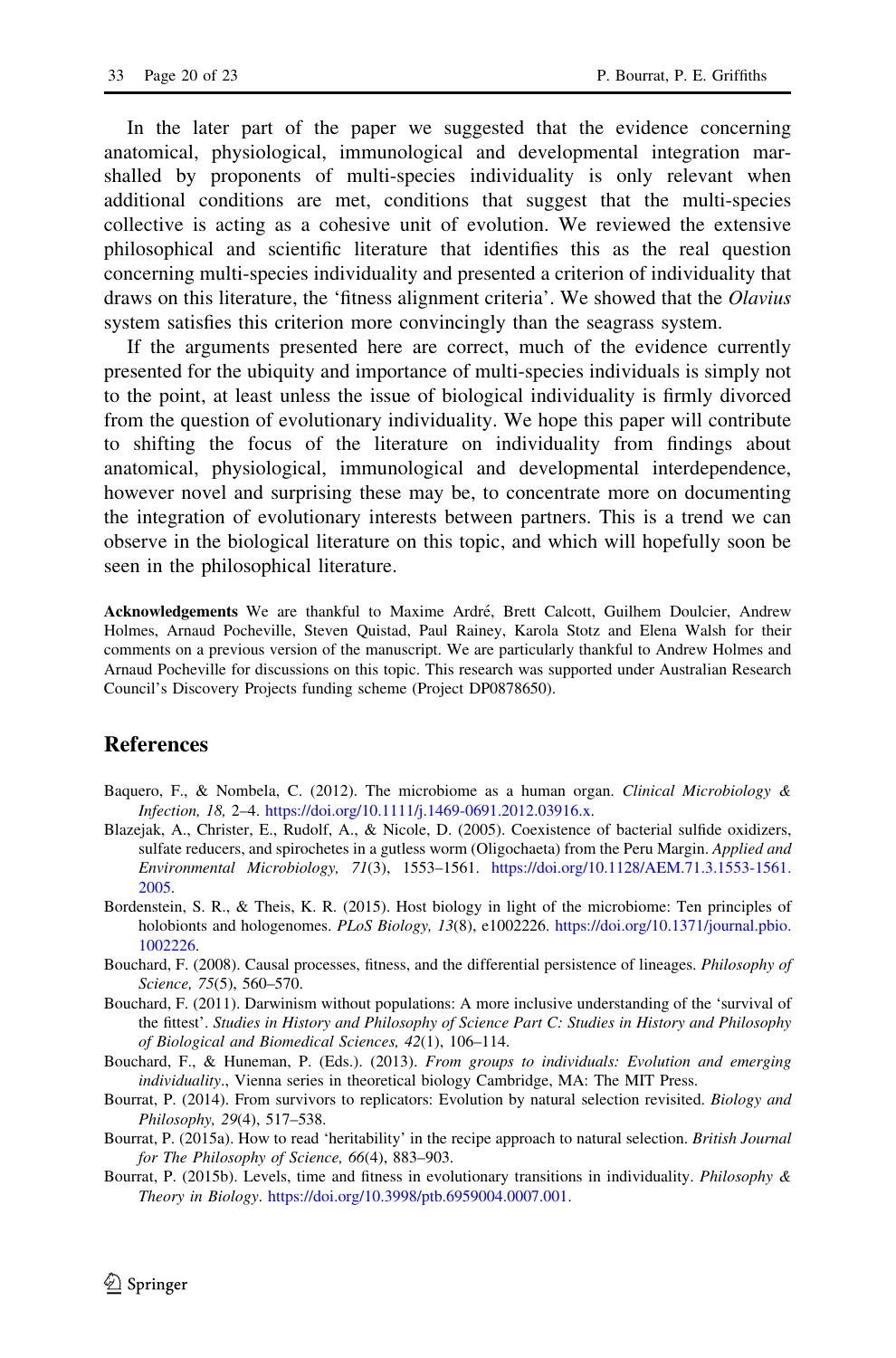<span id="page-19-0"></span>In the later part of the paper we suggested that the evidence concerning anatomical, physiological, immunological and developmental integration marshalled by proponents of multi-species individuality is only relevant when additional conditions are met, conditions that suggest that the multi-species collective is acting as a cohesive unit of evolution. We reviewed the extensive philosophical and scientific literature that identifies this as the real question concerning multi-species individuality and presented a criterion of individuality that draws on this literature, the 'fitness alignment criteria'. We showed that the *Olavius* system satisfies this criterion more convincingly than the seagrass system.

If the arguments presented here are correct, much of the evidence currently presented for the ubiquity and importance of multi-species individuals is simply not to the point, at least unless the issue of biological individuality is firmly divorced from the question of evolutionary individuality. We hope this paper will contribute to shifting the focus of the literature on individuality from findings about anatomical, physiological, immunological and developmental interdependence, however novel and surprising these may be, to concentrate more on documenting the integration of evolutionary interests between partners. This is a trend we can observe in the biological literature on this topic, and which will hopefully soon be seen in the philosophical literature.

Acknowledgements We are thankful to Maxime Ardré, Brett Calcott, Guilhem Doulcier, Andrew Holmes, Arnaud Pocheville, Steven Quistad, Paul Rainey, Karola Stotz and Elena Walsh for their comments on a previous version of the manuscript. We are particularly thankful to Andrew Holmes and Arnaud Pocheville for discussions on this topic. This research was supported under Australian Research Council's Discovery Projects funding scheme (Project DP0878650).

### References

- Baquero, F., & Nombela, C. (2012). The microbiome as a human organ. Clinical Microbiology & Infection, 18, 2–4. [https://doi.org/10.1111/j.1469-0691.2012.03916.x.](https://doi.org/10.1111/j.1469-0691.2012.03916.x)
- Blazejak, A., Christer, E., Rudolf, A., & Nicole, D. (2005). Coexistence of bacterial sulfide oxidizers, sulfate reducers, and spirochetes in a gutless worm (Oligochaeta) from the Peru Margin. Applied and Environmental Microbiology, 71(3), 1553–1561. [https://doi.org/10.1128/AEM.71.3.1553-1561.](https://doi.org/10.1128/AEM.71.3.1553-1561.2005) [2005.](https://doi.org/10.1128/AEM.71.3.1553-1561.2005)
- Bordenstein, S. R., & Theis, K. R. (2015). Host biology in light of the microbiome: Ten principles of holobionts and hologenomes. *PLoS Biology*, 13(8), e1002226. [https://doi.org/10.1371/journal.pbio.](https://doi.org/10.1371/journal.pbio.1002226) [1002226.](https://doi.org/10.1371/journal.pbio.1002226)
- Bouchard, F. (2008). Causal processes, fitness, and the differential persistence of lineages. Philosophy of Science, 75(5), 560–570.
- Bouchard, F. (2011). Darwinism without populations: A more inclusive understanding of the 'survival of the fittest'. Studies in History and Philosophy of Science Part C: Studies in History and Philosophy of Biological and Biomedical Sciences, 42(1), 106–114.
- Bouchard, F., & Huneman, P. (Eds.). (2013). From groups to individuals: Evolution and emerging individuality., Vienna series in theoretical biology Cambridge, MA: The MIT Press.
- Bourrat, P. (2014). From survivors to replicators: Evolution by natural selection revisited. Biology and Philosophy, 29(4), 517–538.
- Bourrat, P. (2015a). How to read 'heritability' in the recipe approach to natural selection. British Journal for The Philosophy of Science, 66(4), 883–903.
- Bourrat, P. (2015b). Levels, time and fitness in evolutionary transitions in individuality. Philosophy & Theory in Biology. [https://doi.org/10.3998/ptb.6959004.0007.001.](https://doi.org/10.3998/ptb.6959004.0007.001)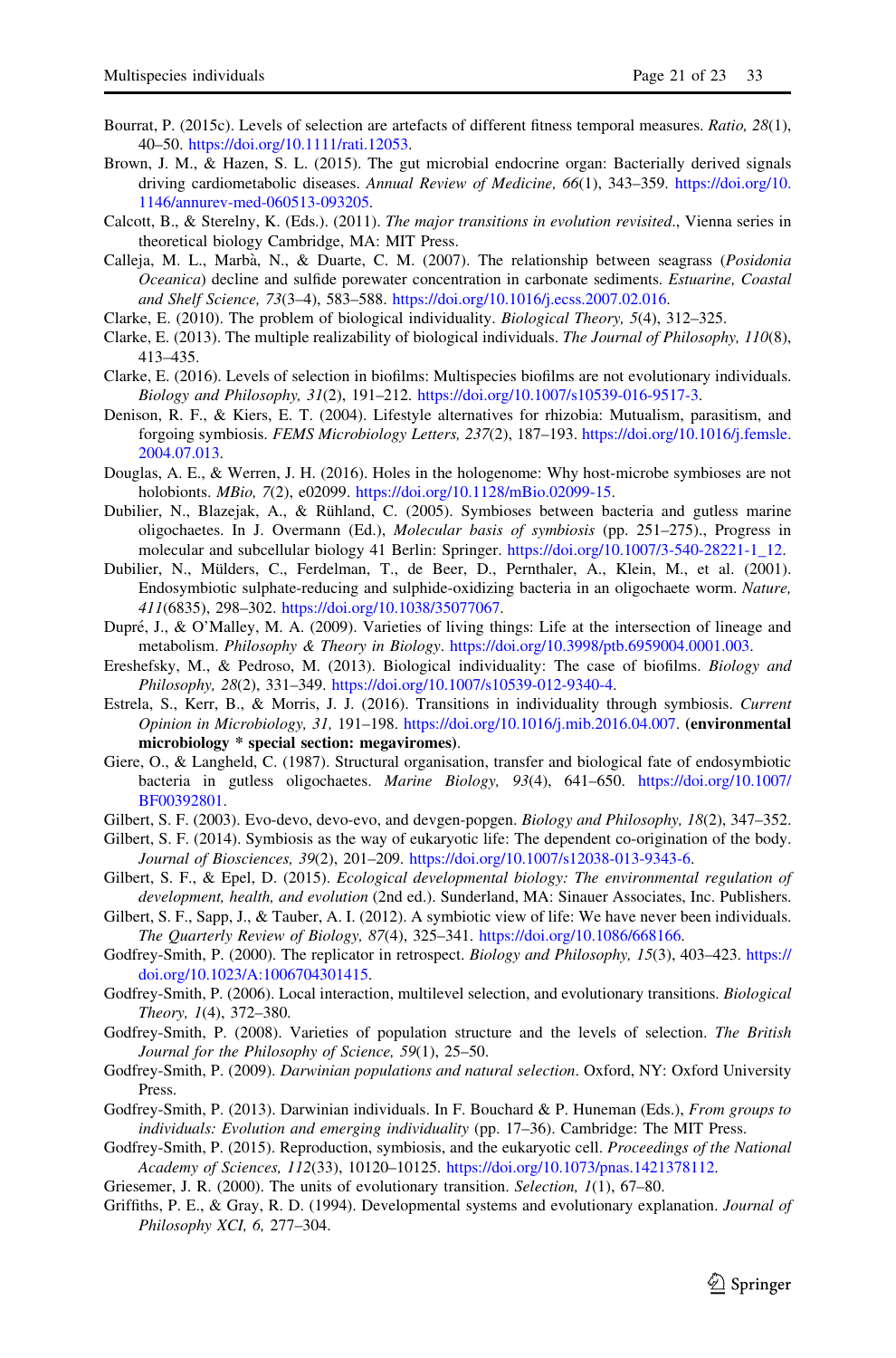- <span id="page-20-0"></span>Bourrat, P. (2015c). Levels of selection are artefacts of different fitness temporal measures. Ratio, 28(1), 40–50. <https://doi.org/10.1111/rati.12053>.
- Brown, J. M., & Hazen, S. L. (2015). The gut microbial endocrine organ: Bacterially derived signals driving cardiometabolic diseases. Annual Review of Medicine, 66(1), 343–359. [https://doi.org/10.](https://doi.org/10.1146/annurev-med-060513-093205) [1146/annurev-med-060513-093205](https://doi.org/10.1146/annurev-med-060513-093205).
- Calcott, B., & Sterelny, K. (Eds.). (2011). The major transitions in evolution revisited., Vienna series in theoretical biology Cambridge, MA: MIT Press.
- Calleja, M. L., Marbà, N., & Duarte, C. M. (2007). The relationship between seagrass (Posidonia Oceanica) decline and sulfide porewater concentration in carbonate sediments. Estuarine, Coastal and Shelf Science, 73(3–4), 583–588. <https://doi.org/10.1016/j.ecss.2007.02.016>.
- Clarke, E. (2010). The problem of biological individuality. Biological Theory, 5(4), 312–325.
- Clarke, E. (2013). The multiple realizability of biological individuals. The Journal of Philosophy, 110(8), 413–435.
- Clarke, E. (2016). Levels of selection in biofilms: Multispecies biofilms are not evolutionary individuals. Biology and Philosophy, 31(2), 191–212. [https://doi.org/10.1007/s10539-016-9517-3.](https://doi.org/10.1007/s10539-016-9517-3)
- Denison, R. F., & Kiers, E. T. (2004). Lifestyle alternatives for rhizobia: Mutualism, parasitism, and forgoing symbiosis. FEMS Microbiology Letters, 237(2), 187–193. [https://doi.org/10.1016/j.femsle.](https://doi.org/10.1016/j.femsle.2004.07.013) [2004.07.013.](https://doi.org/10.1016/j.femsle.2004.07.013)
- Douglas, A. E., & Werren, J. H. (2016). Holes in the hologenome: Why host-microbe symbioses are not holobionts. MBio, 7(2), e02099. <https://doi.org/10.1128/mBio.02099-15>.
- Dubilier, N., Blazejak, A., & Rühland, C. (2005). Symbioses between bacteria and gutless marine oligochaetes. In J. Overmann (Ed.), Molecular basis of symbiosis (pp. 251–275)., Progress in molecular and subcellular biology 41 Berlin: Springer. [https://doi.org/10.1007/3-540-28221-1\\_12.](https://doi.org/10.1007/3-540-28221-1_12)
- Dubilier, N., Mülders, C., Ferdelman, T., de Beer, D., Pernthaler, A., Klein, M., et al. (2001). Endosymbiotic sulphate-reducing and sulphide-oxidizing bacteria in an oligochaete worm. Nature, 411(6835), 298–302. <https://doi.org/10.1038/35077067>.
- Dupré, J., & O'Malley, M. A. (2009). Varieties of living things: Life at the intersection of lineage and metabolism. Philosophy & Theory in Biology. [https://doi.org/10.3998/ptb.6959004.0001.003.](https://doi.org/10.3998/ptb.6959004.0001.003)
- Ereshefsky, M., & Pedroso, M. (2013). Biological individuality: The case of biofilms. Biology and Philosophy, 28(2), 331–349. [https://doi.org/10.1007/s10539-012-9340-4.](https://doi.org/10.1007/s10539-012-9340-4)
- Estrela, S., Kerr, B., & Morris, J. J. (2016). Transitions in individuality through symbiosis. Current Opinion in Microbiology, 31, 191–198. [https://doi.org/10.1016/j.mib.2016.04.007.](https://doi.org/10.1016/j.mib.2016.04.007) (environmental microbiology \* special section: megaviromes).
- Giere, O., & Langheld, C. (1987). Structural organisation, transfer and biological fate of endosymbiotic bacteria in gutless oligochaetes. Marine Biology, 93(4), 641–650. [https://doi.org/10.1007/](https://doi.org/10.1007/BF00392801) [BF00392801.](https://doi.org/10.1007/BF00392801)
- Gilbert, S. F. (2003). Evo-devo, devo-evo, and devgen-popgen. Biology and Philosophy, 18(2), 347–352.
- Gilbert, S. F. (2014). Symbiosis as the way of eukaryotic life: The dependent co-origination of the body. Journal of Biosciences, 39(2), 201–209. [https://doi.org/10.1007/s12038-013-9343-6.](https://doi.org/10.1007/s12038-013-9343-6)
- Gilbert, S. F., & Epel, D. (2015). *Ecological developmental biology: The environmental regulation of* development, health, and evolution (2nd ed.). Sunderland, MA: Sinauer Associates, Inc. Publishers.
- Gilbert, S. F., Sapp, J., & Tauber, A. I. (2012). A symbiotic view of life: We have never been individuals. The Quarterly Review of Biology, 87(4), 325–341. <https://doi.org/10.1086/668166>.
- Godfrey-Smith, P. (2000). The replicator in retrospect. Biology and Philosophy, 15(3), 403–423. [https://](https://doi.org/10.1023/A:1006704301415) [doi.org/10.1023/A:1006704301415.](https://doi.org/10.1023/A:1006704301415)
- Godfrey-Smith, P. (2006). Local interaction, multilevel selection, and evolutionary transitions. Biological Theory, 1(4), 372–380.
- Godfrey-Smith, P. (2008). Varieties of population structure and the levels of selection. The British Journal for the Philosophy of Science, 59(1), 25–50.
- Godfrey-Smith, P. (2009). Darwinian populations and natural selection. Oxford, NY: Oxford University Press.
- Godfrey-Smith, P. (2013). Darwinian individuals. In F. Bouchard & P. Huneman (Eds.), From groups to individuals: Evolution and emerging individuality (pp. 17–36). Cambridge: The MIT Press.
- Godfrey-Smith, P. (2015). Reproduction, symbiosis, and the eukaryotic cell. Proceedings of the National Academy of Sciences, 112(33), 10120–10125. [https://doi.org/10.1073/pnas.1421378112.](https://doi.org/10.1073/pnas.1421378112)
- Griesemer, J. R. (2000). The units of evolutionary transition. Selection, 1(1), 67-80.
- Griffiths, P. E., & Gray, R. D. (1994). Developmental systems and evolutionary explanation. Journal of Philosophy XCI, 6, 277–304.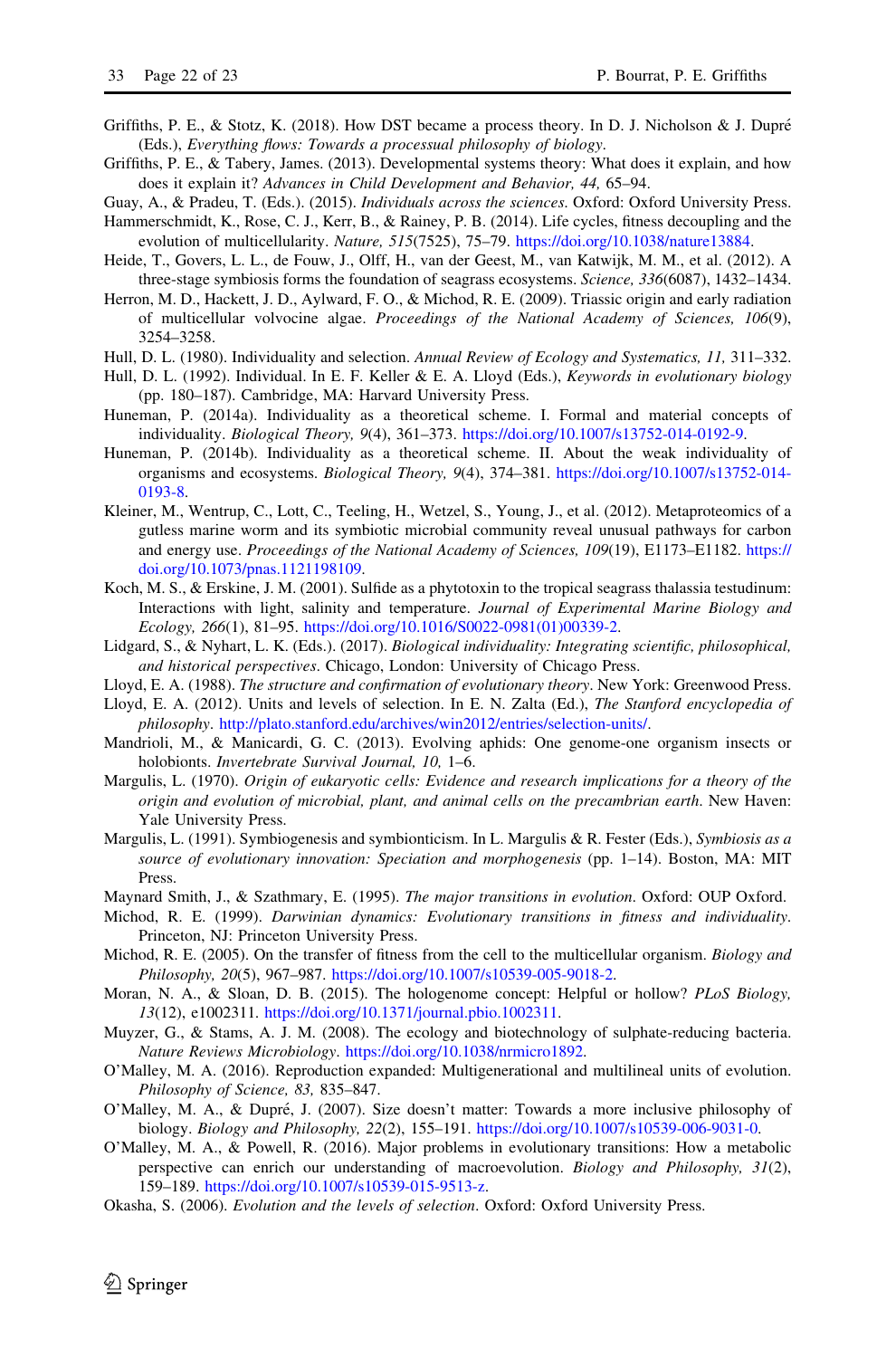- <span id="page-21-0"></span>Griffiths, P. E., & Stotz, K. (2018). How DST became a process theory. In D. J. Nicholson & J. Dupré (Eds.), Everything flows: Towards a processual philosophy of biology.
- Griffiths, P. E., & Tabery, James. (2013). Developmental systems theory: What does it explain, and how does it explain it? Advances in Child Development and Behavior, 44, 65–94.

Guay, A., & Pradeu, T. (Eds.). (2015). *Individuals across the sciences*. Oxford: Oxford University Press.

- Hammerschmidt, K., Rose, C. J., Kerr, B., & Rainey, P. B. (2014). Life cycles, fitness decoupling and the evolution of multicellularity. Nature, 515(7525), 75–79. <https://doi.org/10.1038/nature13884>.
- Heide, T., Govers, L. L., de Fouw, J., Olff, H., van der Geest, M., van Katwijk, M. M., et al. (2012). A three-stage symbiosis forms the foundation of seagrass ecosystems. Science, 336(6087), 1432–1434.
- Herron, M. D., Hackett, J. D., Aylward, F. O., & Michod, R. E. (2009). Triassic origin and early radiation of multicellular volvocine algae. Proceedings of the National Academy of Sciences, 106(9), 3254–3258.
- Hull, D. L. (1980). Individuality and selection. Annual Review of Ecology and Systematics, 11, 311–332.
- Hull, D. L. (1992). Individual. In E. F. Keller & E. A. Lloyd (Eds.), Keywords in evolutionary biology (pp. 180–187). Cambridge, MA: Harvard University Press.
- Huneman, P. (2014a). Individuality as a theoretical scheme. I. Formal and material concepts of individuality. Biological Theory, 9(4), 361–373. [https://doi.org/10.1007/s13752-014-0192-9.](https://doi.org/10.1007/s13752-014-0192-9)
- Huneman, P. (2014b). Individuality as a theoretical scheme. II. About the weak individuality of organisms and ecosystems. Biological Theory, 9(4), 374–381. [https://doi.org/10.1007/s13752-014-](https://doi.org/10.1007/s13752-014-0193-8) [0193-8.](https://doi.org/10.1007/s13752-014-0193-8)
- Kleiner, M., Wentrup, C., Lott, C., Teeling, H., Wetzel, S., Young, J., et al. (2012). Metaproteomics of a gutless marine worm and its symbiotic microbial community reveal unusual pathways for carbon and energy use. Proceedings of the National Academy of Sciences, 109(19), E1173–E1182. [https://](https://doi.org/10.1073/pnas.1121198109) [doi.org/10.1073/pnas.1121198109](https://doi.org/10.1073/pnas.1121198109).
- Koch, M. S., & Erskine, J. M. (2001). Sulfide as a phytotoxin to the tropical seagrass thalassia testudinum: Interactions with light, salinity and temperature. Journal of Experimental Marine Biology and Ecology, 266(1), 81–95. [https://doi.org/10.1016/S0022-0981\(01\)00339-2.](https://doi.org/10.1016/S0022-0981(01)00339-2)
- Lidgard, S., & Nyhart, L. K. (Eds.). (2017). Biological individuality: Integrating scientific, philosophical, and historical perspectives. Chicago, London: University of Chicago Press.

Lloyd, E. A. (1988). The structure and confirmation of evolutionary theory. New York: Greenwood Press.

- Lloyd, E. A. (2012). Units and levels of selection. In E. N. Zalta (Ed.), The Stanford encyclopedia of philosophy. [http://plato.stanford.edu/archives/win2012/entries/selection-units/.](http://plato.stanford.edu/archives/win2012/entries/selection-units/)
- Mandrioli, M., & Manicardi, G. C. (2013). Evolving aphids: One genome-one organism insects or holobionts. Invertebrate Survival Journal, 10, 1–6.
- Margulis, L. (1970). Origin of eukaryotic cells: Evidence and research implications for a theory of the origin and evolution of microbial, plant, and animal cells on the precambrian earth. New Haven: Yale University Press.
- Margulis, L. (1991). Symbiogenesis and symbionticism. In L. Margulis & R. Fester (Eds.), Symbiosis as a source of evolutionary innovation: Speciation and morphogenesis (pp. 1–14). Boston, MA: MIT Press.
- Maynard Smith, J., & Szathmary, E. (1995). The major transitions in evolution. Oxford: OUP Oxford.
- Michod, R. E. (1999). Darwinian dynamics: Evolutionary transitions in fitness and individuality. Princeton, NJ: Princeton University Press.
- Michod, R. E. (2005). On the transfer of fitness from the cell to the multicellular organism. Biology and Philosophy, 20(5), 967–987. [https://doi.org/10.1007/s10539-005-9018-2.](https://doi.org/10.1007/s10539-005-9018-2)
- Moran, N. A., & Sloan, D. B. (2015). The hologenome concept: Helpful or hollow? PLoS Biology, 13(12), e1002311. [https://doi.org/10.1371/journal.pbio.1002311.](https://doi.org/10.1371/journal.pbio.1002311)
- Muyzer, G., & Stams, A. J. M. (2008). The ecology and biotechnology of sulphate-reducing bacteria. Nature Reviews Microbiology. <https://doi.org/10.1038/nrmicro1892>.
- O'Malley, M. A. (2016). Reproduction expanded: Multigenerational and multilineal units of evolution. Philosophy of Science, 83, 835–847.
- O'Malley, M. A., & Dupré, J. (2007). Size doesn't matter: Towards a more inclusive philosophy of biology. Biology and Philosophy, 22(2), 155–191. [https://doi.org/10.1007/s10539-006-9031-0.](https://doi.org/10.1007/s10539-006-9031-0)
- O'Malley, M. A., & Powell, R. (2016). Major problems in evolutionary transitions: How a metabolic perspective can enrich our understanding of macroevolution. Biology and Philosophy, 31(2), 159–189. [https://doi.org/10.1007/s10539-015-9513-z.](https://doi.org/10.1007/s10539-015-9513-z)
- Okasha, S. (2006). Evolution and the levels of selection. Oxford: Oxford University Press.